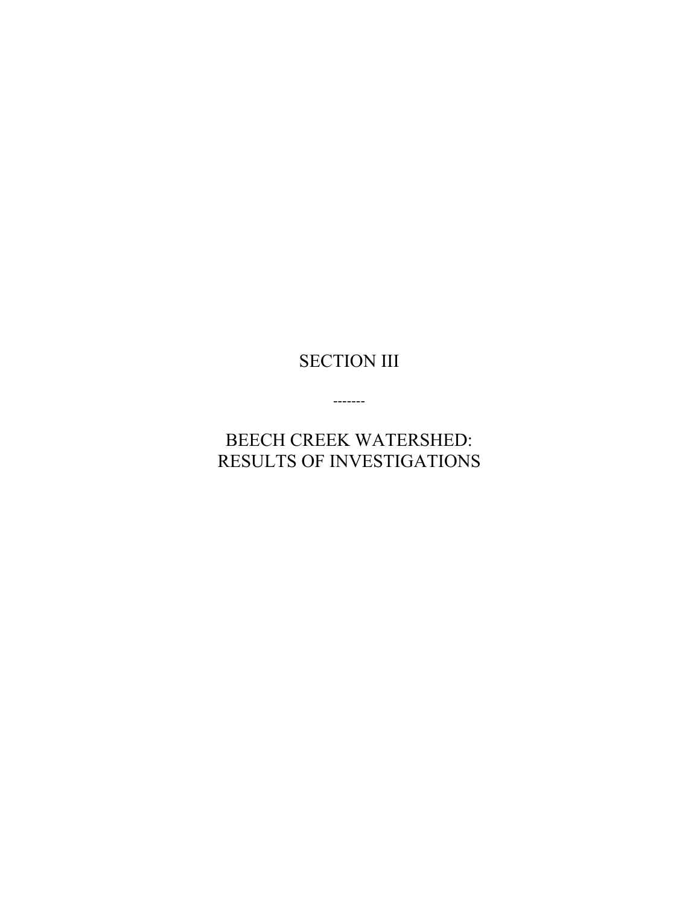# SECTION III

-------

BEECH CREEK WATERSHED: RESULTS OF INVESTIGATIONS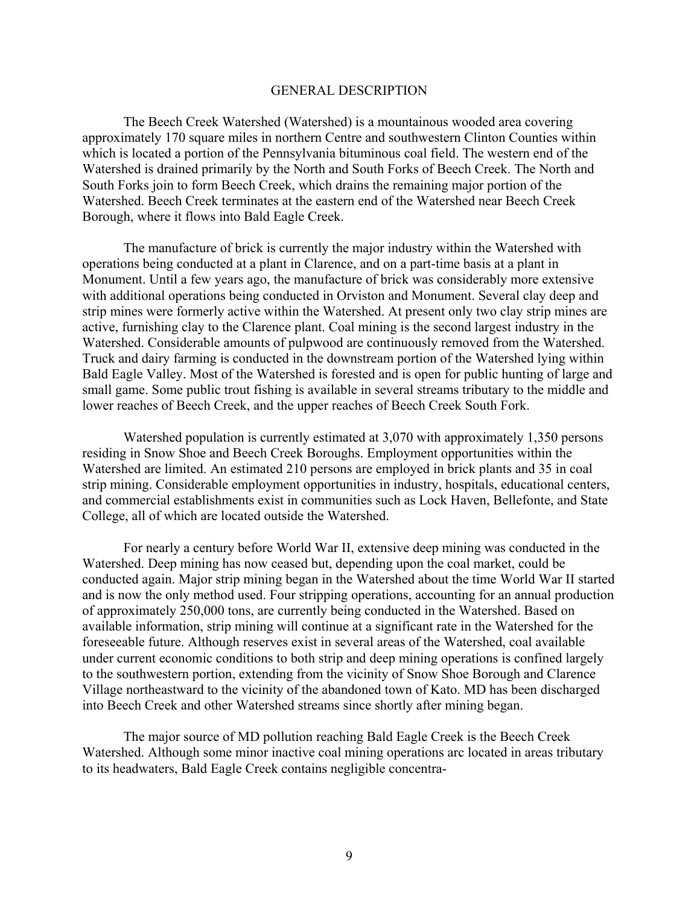#### GENERAL DESCRIPTION

The Beech Creek Watershed (Watershed) is a mountainous wooded area covering approximately 170 square miles in northern Centre and southwestern Clinton Counties within which is located a portion of the Pennsylvania bituminous coal field. The western end of the Watershed is drained primarily by the North and South Forks of Beech Creek. The North and South Forks join to form Beech Creek, which drains the remaining major portion of the Watershed. Beech Creek terminates at the eastern end of the Watershed near Beech Creek Borough, where it flows into Bald Eagle Creek.

The manufacture of brick is currently the major industry within the Watershed with operations being conducted at a plant in Clarence, and on a part-time basis at a plant in Monument. Until a few years ago, the manufacture of brick was considerably more extensive with additional operations being conducted in Orviston and Monument. Several clay deep and strip mines were formerly active within the Watershed. At present only two clay strip mines are active, furnishing clay to the Clarence plant. Coal mining is the second largest industry in the Watershed. Considerable amounts of pulpwood are continuously removed from the Watershed. Truck and dairy farming is conducted in the downstream portion of the Watershed lying within Bald Eagle Valley. Most of the Watershed is forested and is open for public hunting of large and small game. Some public trout fishing is available in several streams tributary to the middle and lower reaches of Beech Creek, and the upper reaches of Beech Creek South Fork.

Watershed population is currently estimated at 3,070 with approximately 1,350 persons residing in Snow Shoe and Beech Creek Boroughs. Employment opportunities within the Watershed are limited. An estimated 210 persons are employed in brick plants and 35 in coal strip mining. Considerable employment opportunities in industry, hospitals, educational centers, and commercial establishments exist in communities such as Lock Haven, Bellefonte, and State College, all of which are located outside the Watershed.

For nearly a century before World War II, extensive deep mining was conducted in the Watershed. Deep mining has now ceased but, depending upon the coal market, could be conducted again. Major strip mining began in the Watershed about the time World War II started and is now the only method used. Four stripping operations, accounting for an annual production of approximately 250,000 tons, are currently being conducted in the Watershed. Based on available information, strip mining will continue at a significant rate in the Watershed for the foreseeable future. Although reserves exist in several areas of the Watershed, coal available under current economic conditions to both strip and deep mining operations is confined largely to the southwestern portion, extending from the vicinity of Snow Shoe Borough and Clarence Village northeastward to the vicinity of the abandoned town of Kato. MD has been discharged into Beech Creek and other Watershed streams since shortly after mining began.

The major source of MD pollution reaching Bald Eagle Creek is the Beech Creek Watershed. Although some minor inactive coal mining operations arc located in areas tributary to its headwaters, Bald Eagle Creek contains negligible concentra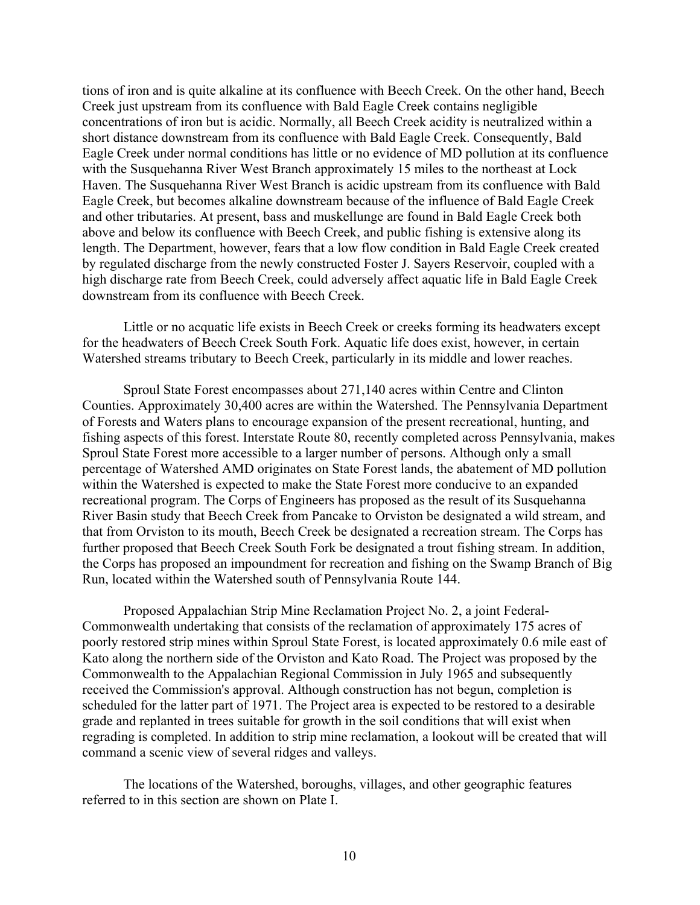tions of iron and is quite alkaline at its confluence with Beech Creek. On the other hand, Beech Creek just upstream from its confluence with Bald Eagle Creek contains negligible concentrations of iron but is acidic. Normally, all Beech Creek acidity is neutralized within a short distance downstream from its confluence with Bald Eagle Creek. Consequently, Bald Eagle Creek under normal conditions has little or no evidence of MD pollution at its confluence with the Susquehanna River West Branch approximately 15 miles to the northeast at Lock Haven. The Susquehanna River West Branch is acidic upstream from its confluence with Bald Eagle Creek, but becomes alkaline downstream because of the influence of Bald Eagle Creek and other tributaries. At present, bass and muskellunge are found in Bald Eagle Creek both above and below its confluence with Beech Creek, and public fishing is extensive along its length. The Department, however, fears that a low flow condition in Bald Eagle Creek created by regulated discharge from the newly constructed Foster J. Sayers Reservoir, coupled with a high discharge rate from Beech Creek, could adversely affect aquatic life in Bald Eagle Creek downstream from its confluence with Beech Creek.

Little or no acquatic life exists in Beech Creek or creeks forming its headwaters except for the headwaters of Beech Creek South Fork. Aquatic life does exist, however, in certain Watershed streams tributary to Beech Creek, particularly in its middle and lower reaches.

Sproul State Forest encompasses about 271,140 acres within Centre and Clinton Counties. Approximately 30,400 acres are within the Watershed. The Pennsylvania Department of Forests and Waters plans to encourage expansion of the present recreational, hunting, and fishing aspects of this forest. Interstate Route 80, recently completed across Pennsylvania, makes Sproul State Forest more accessible to a larger number of persons. Although only a small percentage of Watershed AMD originates on State Forest lands, the abatement of MD pollution within the Watershed is expected to make the State Forest more conducive to an expanded recreational program. The Corps of Engineers has proposed as the result of its Susquehanna River Basin study that Beech Creek from Pancake to Orviston be designated a wild stream, and that from Orviston to its mouth, Beech Creek be designated a recreation stream. The Corps has further proposed that Beech Creek South Fork be designated a trout fishing stream. In addition, the Corps has proposed an impoundment for recreation and fishing on the Swamp Branch of Big Run, located within the Watershed south of Pennsylvania Route 144.

Proposed Appalachian Strip Mine Reclamation Project No. 2, a joint Federal-Commonwealth undertaking that consists of the reclamation of approximately 175 acres of poorly restored strip mines within Sproul State Forest, is located approximately 0.6 mile east of Kato along the northern side of the Orviston and Kato Road. The Project was proposed by the Commonwealth to the Appalachian Regional Commission in July 1965 and subsequently received the Commission's approval. Although construction has not begun, completion is scheduled for the latter part of 1971. The Project area is expected to be restored to a desirable grade and replanted in trees suitable for growth in the soil conditions that will exist when regrading is completed. In addition to strip mine reclamation, a lookout will be created that will command a scenic view of several ridges and valleys.

The locations of the Watershed, boroughs, villages, and other geographic features referred to in this section are shown on Plate I.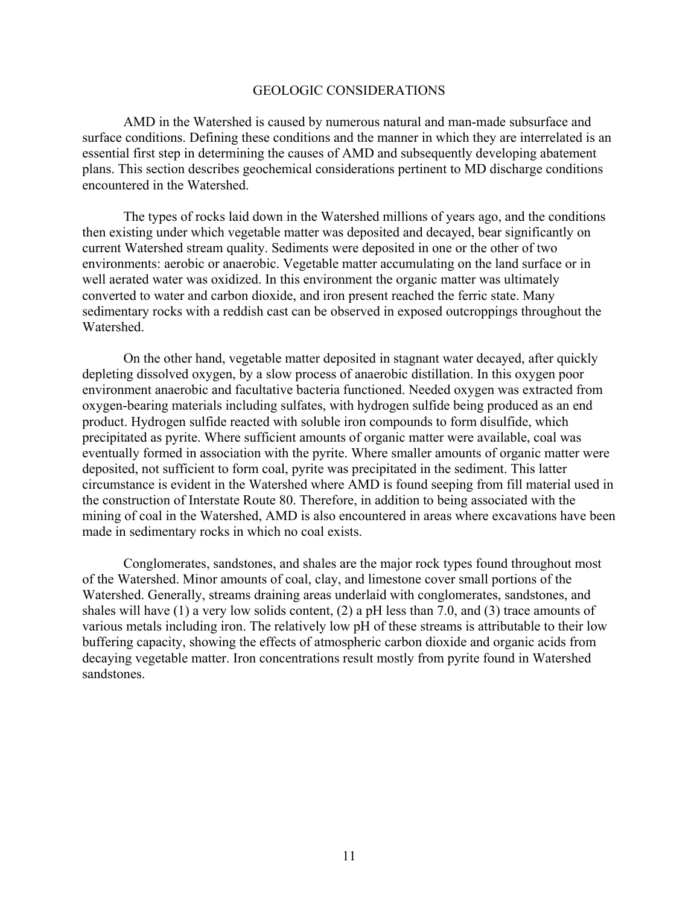#### GEOLOGIC CONSIDERATIONS

AMD in the Watershed is caused by numerous natural and man-made subsurface and surface conditions. Defining these conditions and the manner in which they are interrelated is an essential first step in determining the causes of AMD and subsequently developing abatement plans. This section describes geochemical considerations pertinent to MD discharge conditions encountered in the Watershed.

The types of rocks laid down in the Watershed millions of years ago, and the conditions then existing under which vegetable matter was deposited and decayed, bear significantly on current Watershed stream quality. Sediments were deposited in one or the other of two environments: aerobic or anaerobic. Vegetable matter accumulating on the land surface or in well aerated water was oxidized. In this environment the organic matter was ultimately converted to water and carbon dioxide, and iron present reached the ferric state. Many sedimentary rocks with a reddish cast can be observed in exposed outcroppings throughout the Watershed.

On the other hand, vegetable matter deposited in stagnant water decayed, after quickly depleting dissolved oxygen, by a slow process of anaerobic distillation. In this oxygen poor environment anaerobic and facultative bacteria functioned. Needed oxygen was extracted from oxygen-bearing materials including sulfates, with hydrogen sulfide being produced as an end product. Hydrogen sulfide reacted with soluble iron compounds to form disulfide, which precipitated as pyrite. Where sufficient amounts of organic matter were available, coal was eventually formed in association with the pyrite. Where smaller amounts of organic matter were deposited, not sufficient to form coal, pyrite was precipitated in the sediment. This latter circumstance is evident in the Watershed where AMD is found seeping from fill material used in the construction of Interstate Route 80. Therefore, in addition to being associated with the mining of coal in the Watershed, AMD is also encountered in areas where excavations have been made in sedimentary rocks in which no coal exists.

Conglomerates, sandstones, and shales are the major rock types found throughout most of the Watershed. Minor amounts of coal, clay, and limestone cover small portions of the Watershed. Generally, streams draining areas underlaid with conglomerates, sandstones, and shales will have (1) a very low solids content, (2) a pH less than 7.0, and (3) trace amounts of various metals including iron. The relatively low pH of these streams is attributable to their low buffering capacity, showing the effects of atmospheric carbon dioxide and organic acids from decaying vegetable matter. Iron concentrations result mostly from pyrite found in Watershed sandstones.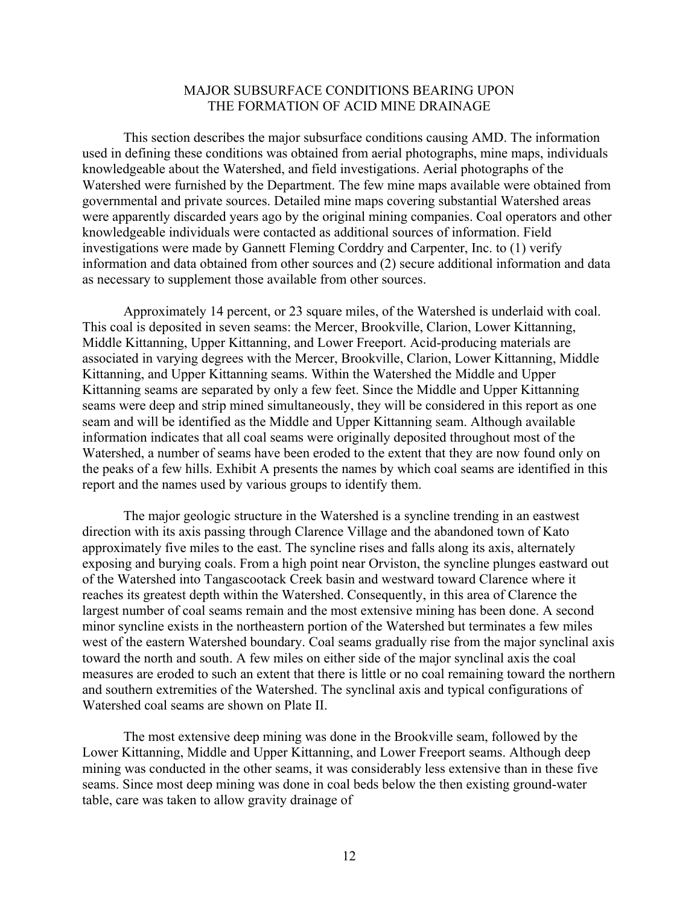## MAJOR SUBSURFACE CONDITIONS BEARING UPON THE FORMATION OF ACID MINE DRAINAGE

This section describes the major subsurface conditions causing AMD. The information used in defining these conditions was obtained from aerial photographs, mine maps, individuals knowledgeable about the Watershed, and field investigations. Aerial photographs of the Watershed were furnished by the Department. The few mine maps available were obtained from governmental and private sources. Detailed mine maps covering substantial Watershed areas were apparently discarded years ago by the original mining companies. Coal operators and other knowledgeable individuals were contacted as additional sources of information. Field investigations were made by Gannett Fleming Corddry and Carpenter, Inc. to (1) verify information and data obtained from other sources and (2) secure additional information and data as necessary to supplement those available from other sources.

Approximately 14 percent, or 23 square miles, of the Watershed is underlaid with coal. This coal is deposited in seven seams: the Mercer, Brookville, Clarion, Lower Kittanning, Middle Kittanning, Upper Kittanning, and Lower Freeport. Acid-producing materials are associated in varying degrees with the Mercer, Brookville, Clarion, Lower Kittanning, Middle Kittanning, and Upper Kittanning seams. Within the Watershed the Middle and Upper Kittanning seams are separated by only a few feet. Since the Middle and Upper Kittanning seams were deep and strip mined simultaneously, they will be considered in this report as one seam and will be identified as the Middle and Upper Kittanning seam. Although available information indicates that all coal seams were originally deposited throughout most of the Watershed, a number of seams have been eroded to the extent that they are now found only on the peaks of a few hills. Exhibit A presents the names by which coal seams are identified in this report and the names used by various groups to identify them.

The major geologic structure in the Watershed is a syncline trending in an eastwest direction with its axis passing through Clarence Village and the abandoned town of Kato approximately five miles to the east. The syncline rises and falls along its axis, alternately exposing and burying coals. From a high point near Orviston, the syncline plunges eastward out of the Watershed into Tangascootack Creek basin and westward toward Clarence where it reaches its greatest depth within the Watershed. Consequently, in this area of Clarence the largest number of coal seams remain and the most extensive mining has been done. A second minor syncline exists in the northeastern portion of the Watershed but terminates a few miles west of the eastern Watershed boundary. Coal seams gradually rise from the major synclinal axis toward the north and south. A few miles on either side of the major synclinal axis the coal measures are eroded to such an extent that there is little or no coal remaining toward the northern and southern extremities of the Watershed. The synclinal axis and typical configurations of Watershed coal seams are shown on Plate II.

The most extensive deep mining was done in the Brookville seam, followed by the Lower Kittanning, Middle and Upper Kittanning, and Lower Freeport seams. Although deep mining was conducted in the other seams, it was considerably less extensive than in these five seams. Since most deep mining was done in coal beds below the then existing ground-water table, care was taken to allow gravity drainage of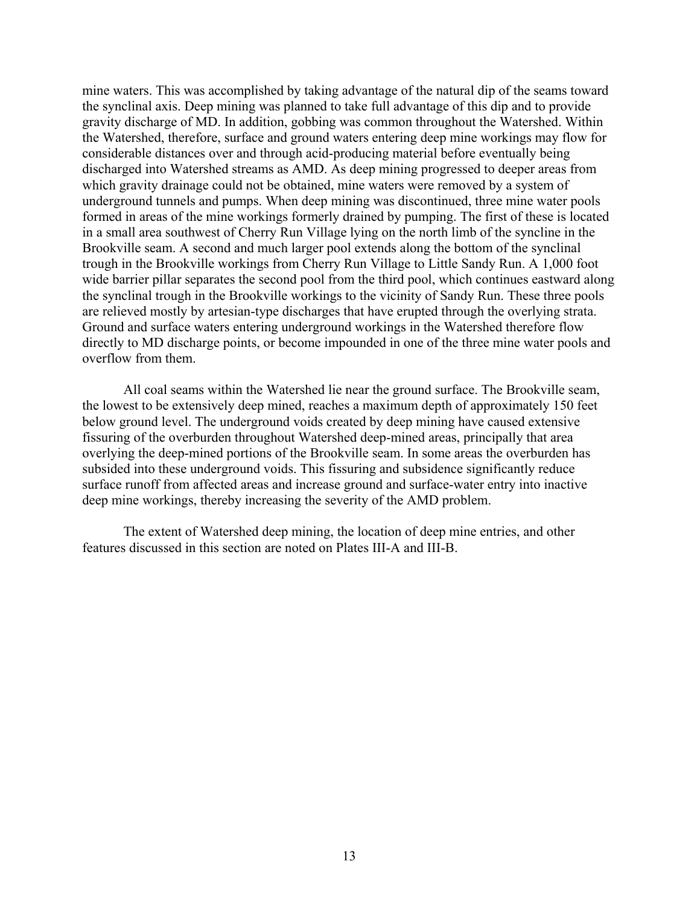mine waters. This was accomplished by taking advantage of the natural dip of the seams toward the synclinal axis. Deep mining was planned to take full advantage of this dip and to provide gravity discharge of MD. In addition, gobbing was common throughout the Watershed. Within the Watershed, therefore, surface and ground waters entering deep mine workings may flow for considerable distances over and through acid-producing material before eventually being discharged into Watershed streams as AMD. As deep mining progressed to deeper areas from which gravity drainage could not be obtained, mine waters were removed by a system of underground tunnels and pumps. When deep mining was discontinued, three mine water pools formed in areas of the mine workings formerly drained by pumping. The first of these is located in a small area southwest of Cherry Run Village lying on the north limb of the syncline in the Brookville seam. A second and much larger pool extends along the bottom of the synclinal trough in the Brookville workings from Cherry Run Village to Little Sandy Run. A 1,000 foot wide barrier pillar separates the second pool from the third pool, which continues eastward along the synclinal trough in the Brookville workings to the vicinity of Sandy Run. These three pools are relieved mostly by artesian-type discharges that have erupted through the overlying strata. Ground and surface waters entering underground workings in the Watershed therefore flow directly to MD discharge points, or become impounded in one of the three mine water pools and overflow from them.

All coal seams within the Watershed lie near the ground surface. The Brookville seam, the lowest to be extensively deep mined, reaches a maximum depth of approximately 150 feet below ground level. The underground voids created by deep mining have caused extensive fissuring of the overburden throughout Watershed deep-mined areas, principally that area overlying the deep-mined portions of the Brookville seam. In some areas the overburden has subsided into these underground voids. This fissuring and subsidence significantly reduce surface runoff from affected areas and increase ground and surface-water entry into inactive deep mine workings, thereby increasing the severity of the AMD problem.

The extent of Watershed deep mining, the location of deep mine entries, and other features discussed in this section are noted on Plates III-A and III-B.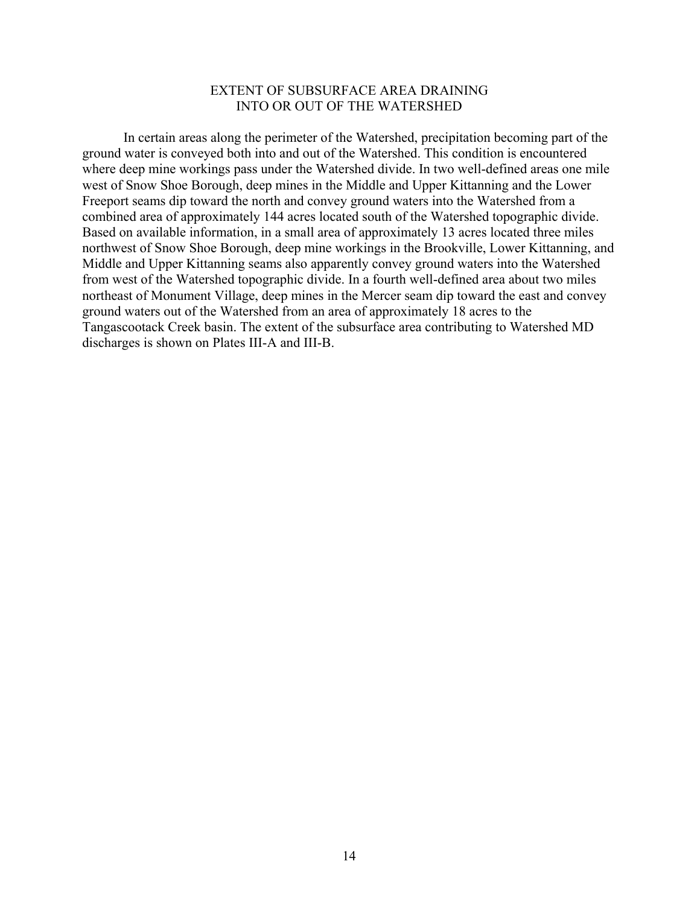## EXTENT OF SUBSURFACE AREA DRAINING INTO OR OUT OF THE WATERSHED

In certain areas along the perimeter of the Watershed, precipitation becoming part of the ground water is conveyed both into and out of the Watershed. This condition is encountered where deep mine workings pass under the Watershed divide. In two well-defined areas one mile west of Snow Shoe Borough, deep mines in the Middle and Upper Kittanning and the Lower Freeport seams dip toward the north and convey ground waters into the Watershed from a combined area of approximately 144 acres located south of the Watershed topographic divide. Based on available information, in a small area of approximately 13 acres located three miles northwest of Snow Shoe Borough, deep mine workings in the Brookville, Lower Kittanning, and Middle and Upper Kittanning seams also apparently convey ground waters into the Watershed from west of the Watershed topographic divide. In a fourth well-defined area about two miles northeast of Monument Village, deep mines in the Mercer seam dip toward the east and convey ground waters out of the Watershed from an area of approximately 18 acres to the Tangascootack Creek basin. The extent of the subsurface area contributing to Watershed MD discharges is shown on Plates III-A and III-B.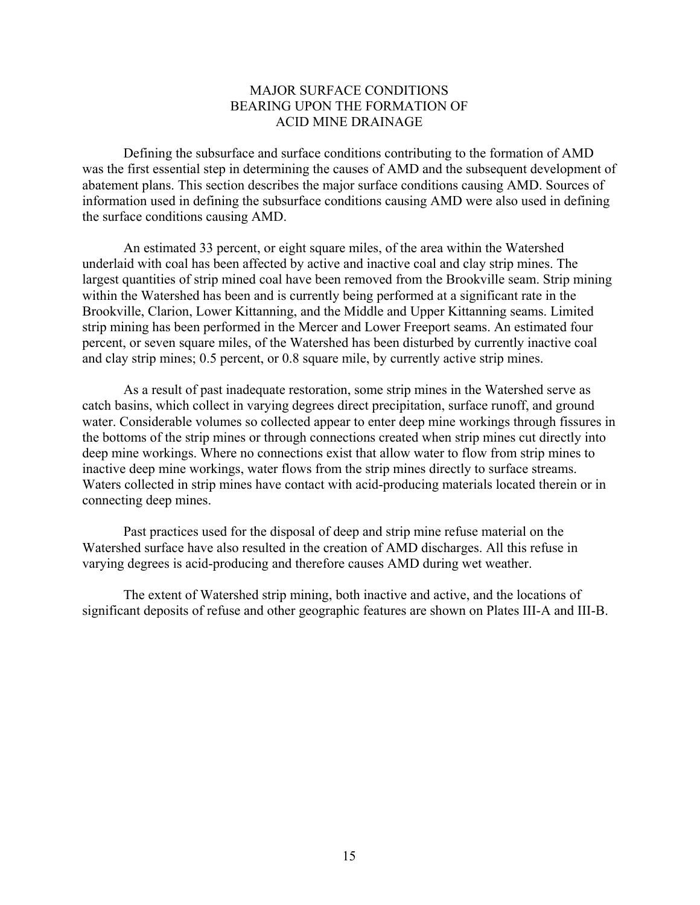# MAJOR SURFACE CONDITIONS BEARING UPON THE FORMATION OF ACID MINE DRAINAGE

Defining the subsurface and surface conditions contributing to the formation of AMD was the first essential step in determining the causes of AMD and the subsequent development of abatement plans. This section describes the major surface conditions causing AMD. Sources of information used in defining the subsurface conditions causing AMD were also used in defining the surface conditions causing AMD.

An estimated 33 percent, or eight square miles, of the area within the Watershed underlaid with coal has been affected by active and inactive coal and clay strip mines. The largest quantities of strip mined coal have been removed from the Brookville seam. Strip mining within the Watershed has been and is currently being performed at a significant rate in the Brookville, Clarion, Lower Kittanning, and the Middle and Upper Kittanning seams. Limited strip mining has been performed in the Mercer and Lower Freeport seams. An estimated four percent, or seven square miles, of the Watershed has been disturbed by currently inactive coal and clay strip mines; 0.5 percent, or 0.8 square mile, by currently active strip mines.

As a result of past inadequate restoration, some strip mines in the Watershed serve as catch basins, which collect in varying degrees direct precipitation, surface runoff, and ground water. Considerable volumes so collected appear to enter deep mine workings through fissures in the bottoms of the strip mines or through connections created when strip mines cut directly into deep mine workings. Where no connections exist that allow water to flow from strip mines to inactive deep mine workings, water flows from the strip mines directly to surface streams. Waters collected in strip mines have contact with acid-producing materials located therein or in connecting deep mines.

Past practices used for the disposal of deep and strip mine refuse material on the Watershed surface have also resulted in the creation of AMD discharges. All this refuse in varying degrees is acid-producing and therefore causes AMD during wet weather.

The extent of Watershed strip mining, both inactive and active, and the locations of significant deposits of refuse and other geographic features are shown on Plates III-A and III-B.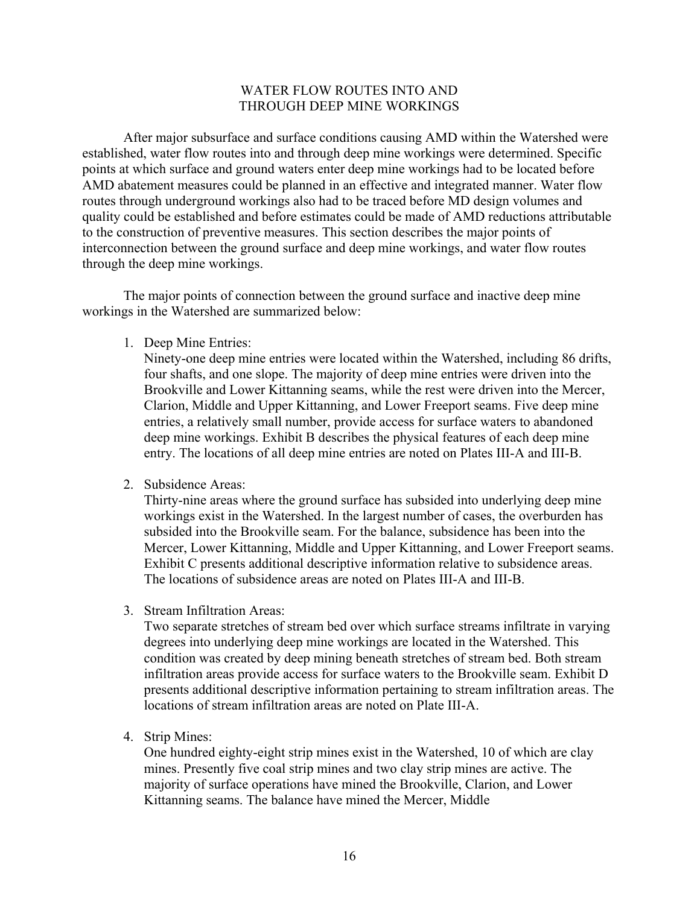## WATER FLOW ROUTES INTO AND THROUGH DEEP MINE WORKINGS

After major subsurface and surface conditions causing AMD within the Watershed were established, water flow routes into and through deep mine workings were determined. Specific points at which surface and ground waters enter deep mine workings had to be located before AMD abatement measures could be planned in an effective and integrated manner. Water flow routes through underground workings also had to be traced before MD design volumes and quality could be established and before estimates could be made of AMD reductions attributable to the construction of preventive measures. This section describes the major points of interconnection between the ground surface and deep mine workings, and water flow routes through the deep mine workings.

The major points of connection between the ground surface and inactive deep mine workings in the Watershed are summarized below:

1. Deep Mine Entries:

Ninety-one deep mine entries were located within the Watershed, including 86 drifts, four shafts, and one slope. The majority of deep mine entries were driven into the Brookville and Lower Kittanning seams, while the rest were driven into the Mercer, Clarion, Middle and Upper Kittanning, and Lower Freeport seams. Five deep mine entries, a relatively small number, provide access for surface waters to abandoned deep mine workings. Exhibit B describes the physical features of each deep mine entry. The locations of all deep mine entries are noted on Plates III-A and III-B.

2. Subsidence Areas:

Thirty-nine areas where the ground surface has subsided into underlying deep mine workings exist in the Watershed. In the largest number of cases, the overburden has subsided into the Brookville seam. For the balance, subsidence has been into the Mercer, Lower Kittanning, Middle and Upper Kittanning, and Lower Freeport seams. Exhibit C presents additional descriptive information relative to subsidence areas. The locations of subsidence areas are noted on Plates III-A and III-B.

3. Stream Infiltration Areas:

Two separate stretches of stream bed over which surface streams infiltrate in varying degrees into underlying deep mine workings are located in the Watershed. This condition was created by deep mining beneath stretches of stream bed. Both stream infiltration areas provide access for surface waters to the Brookville seam. Exhibit D presents additional descriptive information pertaining to stream infiltration areas. The locations of stream infiltration areas are noted on Plate III-A.

4. Strip Mines:

One hundred eighty-eight strip mines exist in the Watershed, 10 of which are clay mines. Presently five coal strip mines and two clay strip mines are active. The majority of surface operations have mined the Brookville, Clarion, and Lower Kittanning seams. The balance have mined the Mercer, Middle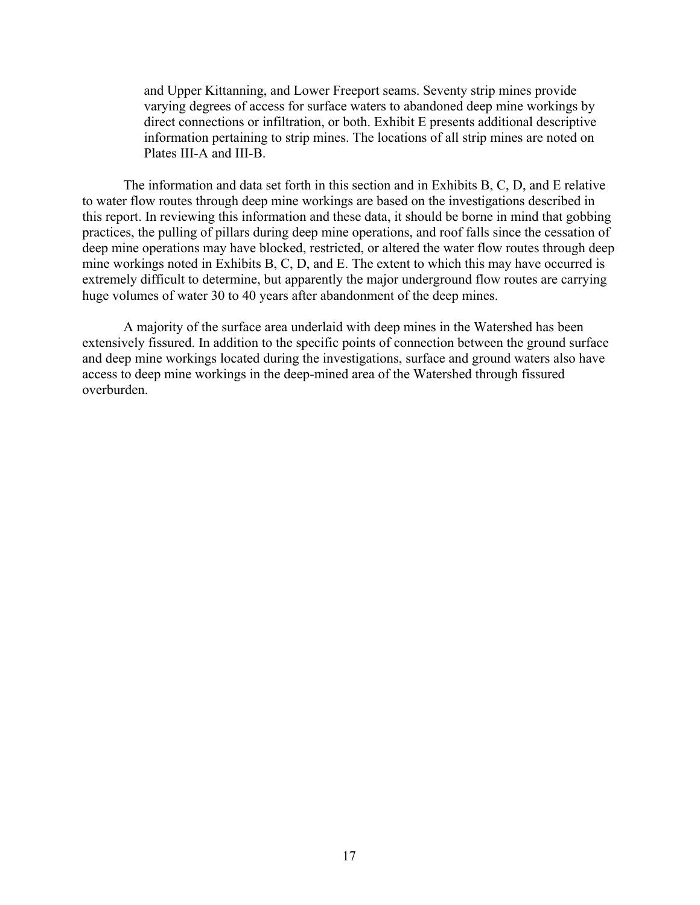and Upper Kittanning, and Lower Freeport seams. Seventy strip mines provide varying degrees of access for surface waters to abandoned deep mine workings by direct connections or infiltration, or both. Exhibit E presents additional descriptive information pertaining to strip mines. The locations of all strip mines are noted on Plates III-A and III-B.

The information and data set forth in this section and in Exhibits B, C, D, and E relative to water flow routes through deep mine workings are based on the investigations described in this report. In reviewing this information and these data, it should be borne in mind that gobbing practices, the pulling of pillars during deep mine operations, and roof falls since the cessation of deep mine operations may have blocked, restricted, or altered the water flow routes through deep mine workings noted in Exhibits B, C, D, and E. The extent to which this may have occurred is extremely difficult to determine, but apparently the major underground flow routes are carrying huge volumes of water 30 to 40 years after abandonment of the deep mines.

A majority of the surface area underlaid with deep mines in the Watershed has been extensively fissured. In addition to the specific points of connection between the ground surface and deep mine workings located during the investigations, surface and ground waters also have access to deep mine workings in the deep-mined area of the Watershed through fissured overburden.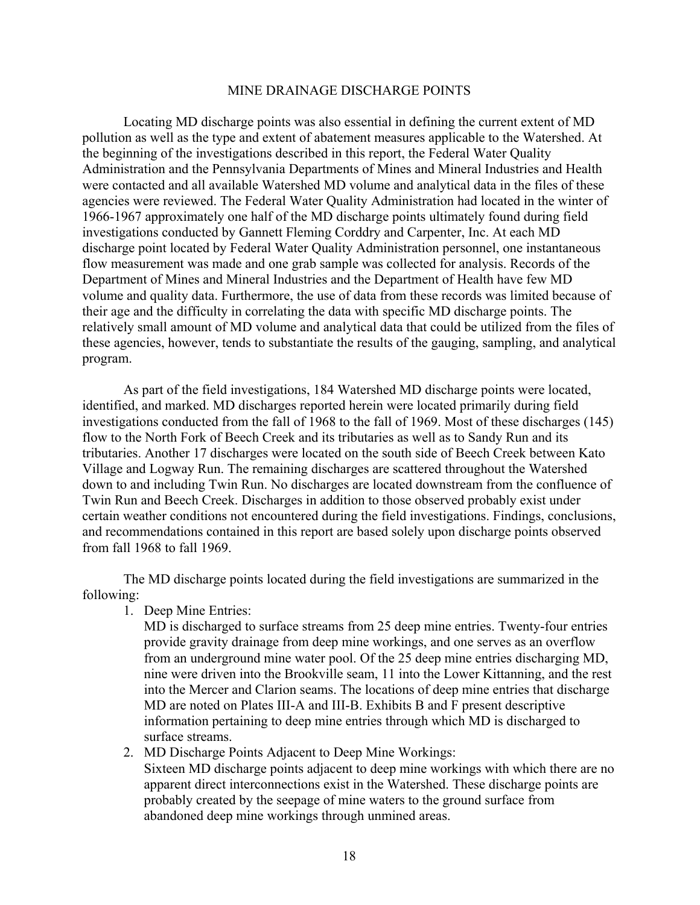#### MINE DRAINAGE DISCHARGE POINTS

Locating MD discharge points was also essential in defining the current extent of MD pollution as well as the type and extent of abatement measures applicable to the Watershed. At the beginning of the investigations described in this report, the Federal Water Quality Administration and the Pennsylvania Departments of Mines and Mineral Industries and Health were contacted and all available Watershed MD volume and analytical data in the files of these agencies were reviewed. The Federal Water Quality Administration had located in the winter of 1966-1967 approximately one half of the MD discharge points ultimately found during field investigations conducted by Gannett Fleming Corddry and Carpenter, Inc. At each MD discharge point located by Federal Water Quality Administration personnel, one instantaneous flow measurement was made and one grab sample was collected for analysis. Records of the Department of Mines and Mineral Industries and the Department of Health have few MD volume and quality data. Furthermore, the use of data from these records was limited because of their age and the difficulty in correlating the data with specific MD discharge points. The relatively small amount of MD volume and analytical data that could be utilized from the files of these agencies, however, tends to substantiate the results of the gauging, sampling, and analytical program.

As part of the field investigations, 184 Watershed MD discharge points were located, identified, and marked. MD discharges reported herein were located primarily during field investigations conducted from the fall of 1968 to the fall of 1969. Most of these discharges (145) flow to the North Fork of Beech Creek and its tributaries as well as to Sandy Run and its tributaries. Another 17 discharges were located on the south side of Beech Creek between Kato Village and Logway Run. The remaining discharges are scattered throughout the Watershed down to and including Twin Run. No discharges are located downstream from the confluence of Twin Run and Beech Creek. Discharges in addition to those observed probably exist under certain weather conditions not encountered during the field investigations. Findings, conclusions, and recommendations contained in this report are based solely upon discharge points observed from fall 1968 to fall 1969.

The MD discharge points located during the field investigations are summarized in the following:

1. Deep Mine Entries:

MD is discharged to surface streams from 25 deep mine entries. Twenty-four entries provide gravity drainage from deep mine workings, and one serves as an overflow from an underground mine water pool. Of the 25 deep mine entries discharging MD, nine were driven into the Brookville seam, 11 into the Lower Kittanning, and the rest into the Mercer and Clarion seams. The locations of deep mine entries that discharge MD are noted on Plates III-A and III-B. Exhibits B and F present descriptive information pertaining to deep mine entries through which MD is discharged to surface streams.

2. MD Discharge Points Adjacent to Deep Mine Workings: Sixteen MD discharge points adjacent to deep mine workings with which there are no apparent direct interconnections exist in the Watershed. These discharge points are probably created by the seepage of mine waters to the ground surface from abandoned deep mine workings through unmined areas.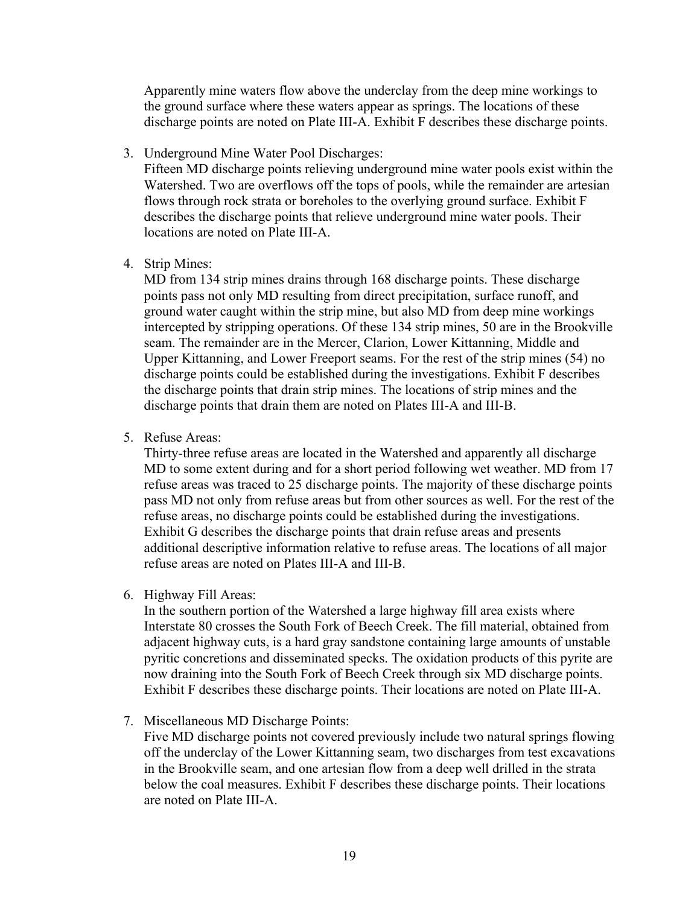Apparently mine waters flow above the underclay from the deep mine workings to the ground surface where these waters appear as springs. The locations of these discharge points are noted on Plate III-A. Exhibit F describes these discharge points.

3. Underground Mine Water Pool Discharges:

Fifteen MD discharge points relieving underground mine water pools exist within the Watershed. Two are overflows off the tops of pools, while the remainder are artesian flows through rock strata or boreholes to the overlying ground surface. Exhibit F describes the discharge points that relieve underground mine water pools. Their locations are noted on Plate III-A.

4. Strip Mines:

MD from 134 strip mines drains through 168 discharge points. These discharge points pass not only MD resulting from direct precipitation, surface runoff, and ground water caught within the strip mine, but also MD from deep mine workings intercepted by stripping operations. Of these 134 strip mines, 50 are in the Brookville seam. The remainder are in the Mercer, Clarion, Lower Kittanning, Middle and Upper Kittanning, and Lower Freeport seams. For the rest of the strip mines (54) no discharge points could be established during the investigations. Exhibit F describes the discharge points that drain strip mines. The locations of strip mines and the discharge points that drain them are noted on Plates III-A and III-B.

5. Refuse Areas:

Thirty-three refuse areas are located in the Watershed and apparently all discharge MD to some extent during and for a short period following wet weather. MD from 17 refuse areas was traced to 25 discharge points. The majority of these discharge points pass MD not only from refuse areas but from other sources as well. For the rest of the refuse areas, no discharge points could be established during the investigations. Exhibit G describes the discharge points that drain refuse areas and presents additional descriptive information relative to refuse areas. The locations of all major refuse areas are noted on Plates III-A and III-B.

6. Highway Fill Areas:

In the southern portion of the Watershed a large highway fill area exists where Interstate 80 crosses the South Fork of Beech Creek. The fill material, obtained from adjacent highway cuts, is a hard gray sandstone containing large amounts of unstable pyritic concretions and disseminated specks. The oxidation products of this pyrite are now draining into the South Fork of Beech Creek through six MD discharge points. Exhibit F describes these discharge points. Their locations are noted on Plate III-A.

7. Miscellaneous MD Discharge Points:

Five MD discharge points not covered previously include two natural springs flowing off the underclay of the Lower Kittanning seam, two discharges from test excavations in the Brookville seam, and one artesian flow from a deep well drilled in the strata below the coal measures. Exhibit F describes these discharge points. Their locations are noted on Plate III-A.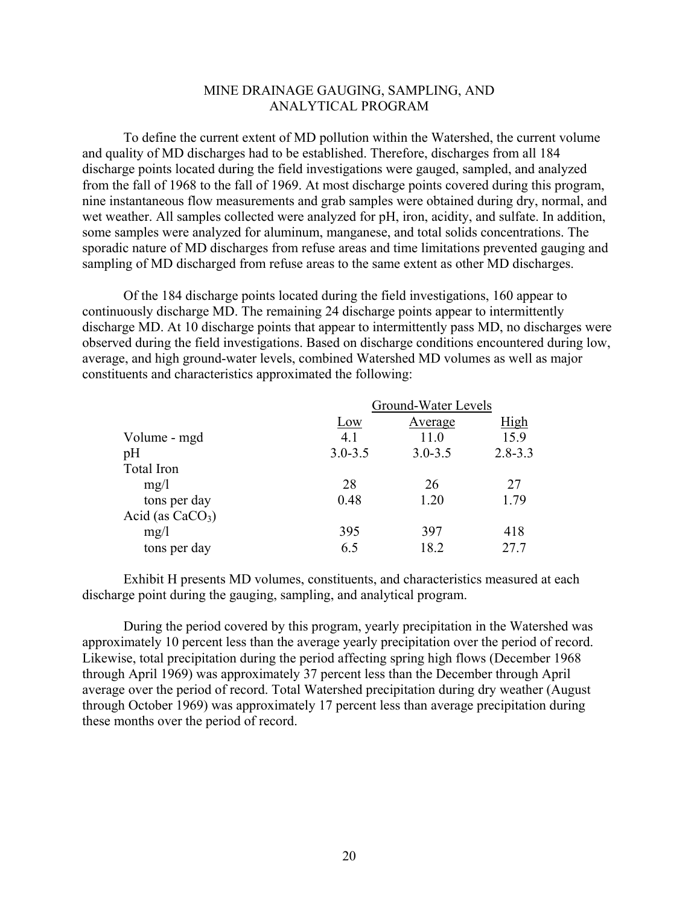## MINE DRAINAGE GAUGING, SAMPLING, AND ANALYTICAL PROGRAM

To define the current extent of MD pollution within the Watershed, the current volume and quality of MD discharges had to be established. Therefore, discharges from all 184 discharge points located during the field investigations were gauged, sampled, and analyzed from the fall of 1968 to the fall of 1969. At most discharge points covered during this program, nine instantaneous flow measurements and grab samples were obtained during dry, normal, and wet weather. All samples collected were analyzed for pH, iron, acidity, and sulfate. In addition, some samples were analyzed for aluminum, manganese, and total solids concentrations. The sporadic nature of MD discharges from refuse areas and time limitations prevented gauging and sampling of MD discharged from refuse areas to the same extent as other MD discharges.

Of the 184 discharge points located during the field investigations, 160 appear to continuously discharge MD. The remaining 24 discharge points appear to intermittently discharge MD. At 10 discharge points that appear to intermittently pass MD, no discharges were observed during the field investigations. Based on discharge conditions encountered during low, average, and high ground-water levels, combined Watershed MD volumes as well as major constituents and characteristics approximated the following:

|                    | Ground-Water Levels |             |             |  |
|--------------------|---------------------|-------------|-------------|--|
|                    | Low                 | Average     | High        |  |
| Volume - mgd       | 4.1                 | 11.0        | 15.9        |  |
| pH                 | $3.0 - 3.5$         | $3.0 - 3.5$ | $2.8 - 3.3$ |  |
| Total Iron         |                     |             |             |  |
| mg/l               | 28                  | 26          | 27          |  |
| tons per day       | 0.48                | 1.20        | 1.79        |  |
| Acid (as $CaCO3$ ) |                     |             |             |  |
| mg/l               | 395                 | 397         | 418         |  |
| tons per day       | 6.5                 | 18.2        | 27.7        |  |

Exhibit H presents MD volumes, constituents, and characteristics measured at each discharge point during the gauging, sampling, and analytical program.

During the period covered by this program, yearly precipitation in the Watershed was approximately 10 percent less than the average yearly precipitation over the period of record. Likewise, total precipitation during the period affecting spring high flows (December 1968 through April 1969) was approximately 37 percent less than the December through April average over the period of record. Total Watershed precipitation during dry weather (August through October 1969) was approximately 17 percent less than average precipitation during these months over the period of record.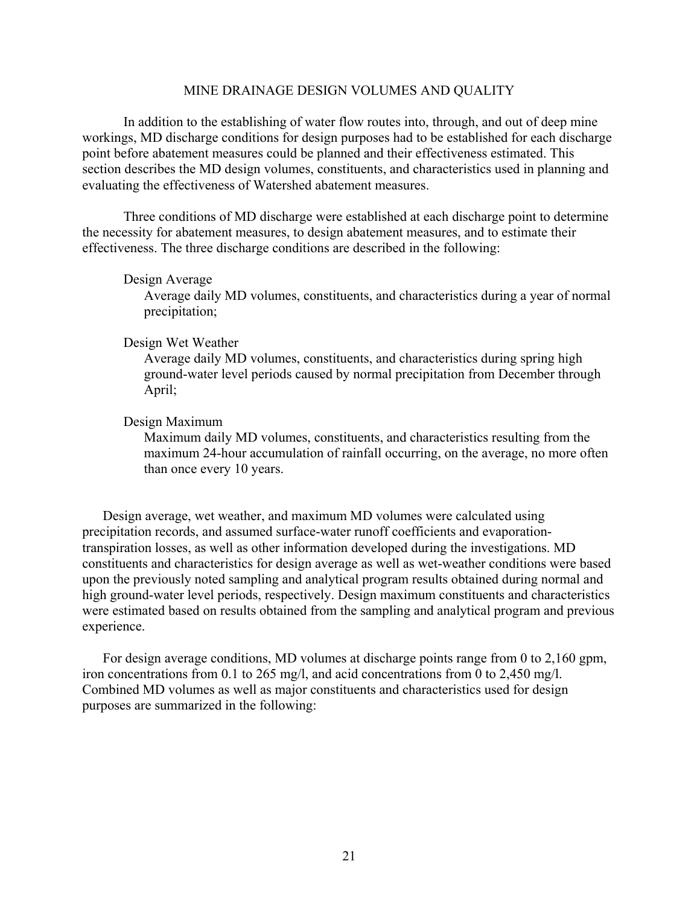#### MINE DRAINAGE DESIGN VOLUMES AND QUALITY

In addition to the establishing of water flow routes into, through, and out of deep mine workings, MD discharge conditions for design purposes had to be established for each discharge point before abatement measures could be planned and their effectiveness estimated. This section describes the MD design volumes, constituents, and characteristics used in planning and evaluating the effectiveness of Watershed abatement measures.

Three conditions of MD discharge were established at each discharge point to determine the necessity for abatement measures, to design abatement measures, and to estimate their effectiveness. The three discharge conditions are described in the following:

#### Design Average

Average daily MD volumes, constituents, and characteristics during a year of normal precipitation;

## Design Wet Weather

Average daily MD volumes, constituents, and characteristics during spring high ground-water level periods caused by normal precipitation from December through April;

#### Design Maximum

Maximum daily MD volumes, constituents, and characteristics resulting from the maximum 24-hour accumulation of rainfall occurring, on the average, no more often than once every 10 years.

Design average, wet weather, and maximum MD volumes were calculated using precipitation records, and assumed surface-water runoff coefficients and evaporationtranspiration losses, as well as other information developed during the investigations. MD constituents and characteristics for design average as well as wet-weather conditions were based upon the previously noted sampling and analytical program results obtained during normal and high ground-water level periods, respectively. Design maximum constituents and characteristics were estimated based on results obtained from the sampling and analytical program and previous experience.

For design average conditions, MD volumes at discharge points range from 0 to 2,160 gpm, iron concentrations from 0.1 to 265 mg/l, and acid concentrations from 0 to 2,450 mg/l. Combined MD volumes as well as major constituents and characteristics used for design purposes are summarized in the following: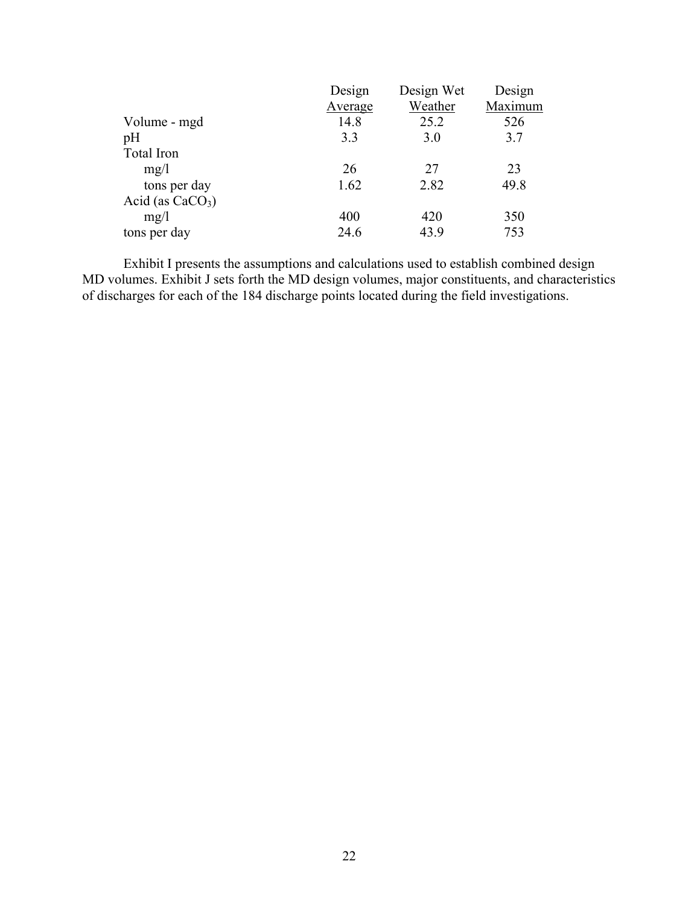|                    | Design  | Design Wet | Design  |
|--------------------|---------|------------|---------|
|                    | Average | Weather    | Maximum |
| Volume - mgd       | 14.8    | 25.2       | 526     |
| pH                 | 3.3     | 3.0        | 3.7     |
| Total Iron         |         |            |         |
| mg/l               | 26      | 27         | 23      |
| tons per day       | 1.62    | 2.82       | 49.8    |
| Acid (as $CaCO3$ ) |         |            |         |
| mg/1               | 400     | 420        | 350     |
| tons per day       | 24.6    | 43.9       | 753     |
|                    |         |            |         |

Exhibit I presents the assumptions and calculations used to establish combined design MD volumes. Exhibit J sets forth the MD design volumes, major constituents, and characteristics of discharges for each of the 184 discharge points located during the field investigations.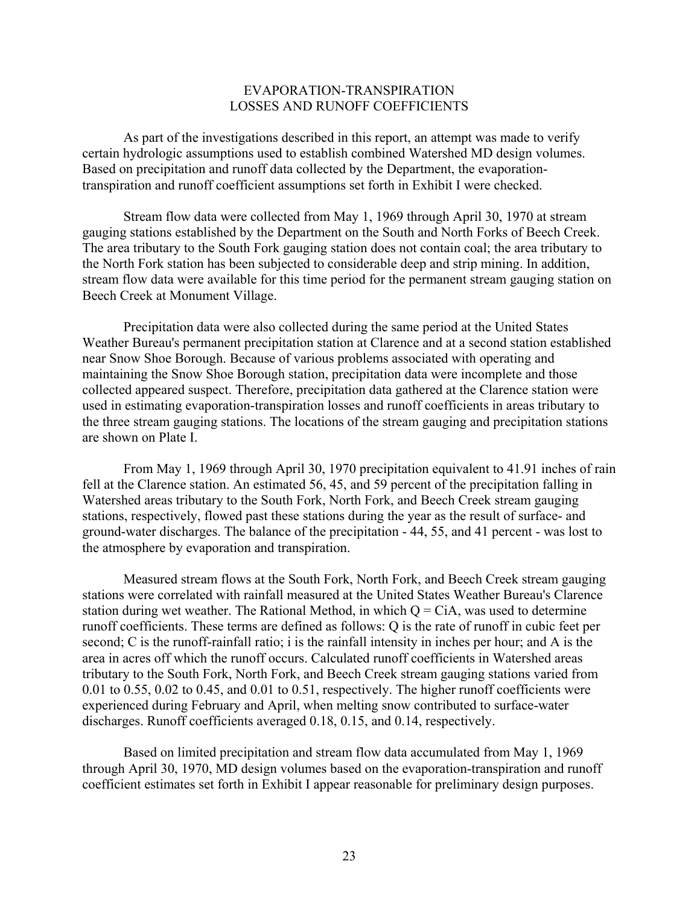## EVAPORATION-TRANSPIRATION LOSSES AND RUNOFF COEFFICIENTS

As part of the investigations described in this report, an attempt was made to verify certain hydrologic assumptions used to establish combined Watershed MD design volumes. Based on precipitation and runoff data collected by the Department, the evaporationtranspiration and runoff coefficient assumptions set forth in Exhibit I were checked.

Stream flow data were collected from May 1, 1969 through April 30, 1970 at stream gauging stations established by the Department on the South and North Forks of Beech Creek. The area tributary to the South Fork gauging station does not contain coal; the area tributary to the North Fork station has been subjected to considerable deep and strip mining. In addition, stream flow data were available for this time period for the permanent stream gauging station on Beech Creek at Monument Village.

Precipitation data were also collected during the same period at the United States Weather Bureau's permanent precipitation station at Clarence and at a second station established near Snow Shoe Borough. Because of various problems associated with operating and maintaining the Snow Shoe Borough station, precipitation data were incomplete and those collected appeared suspect. Therefore, precipitation data gathered at the Clarence station were used in estimating evaporation-transpiration losses and runoff coefficients in areas tributary to the three stream gauging stations. The locations of the stream gauging and precipitation stations are shown on Plate I.

From May 1, 1969 through April 30, 1970 precipitation equivalent to 41.91 inches of rain fell at the Clarence station. An estimated 56, 45, and 59 percent of the precipitation falling in Watershed areas tributary to the South Fork, North Fork, and Beech Creek stream gauging stations, respectively, flowed past these stations during the year as the result of surface- and ground-water discharges. The balance of the precipitation - 44, 55, and 41 percent - was lost to the atmosphere by evaporation and transpiration.

Measured stream flows at the South Fork, North Fork, and Beech Creek stream gauging stations were correlated with rainfall measured at the United States Weather Bureau's Clarence station during wet weather. The Rational Method, in which  $Q = CIA$ , was used to determine runoff coefficients. These terms are defined as follows: Q is the rate of runoff in cubic feet per second; C is the runoff-rainfall ratio; i is the rainfall intensity in inches per hour; and A is the area in acres off which the runoff occurs. Calculated runoff coefficients in Watershed areas tributary to the South Fork, North Fork, and Beech Creek stream gauging stations varied from 0.01 to 0.55, 0.02 to 0.45, and 0.01 to 0.51, respectively. The higher runoff coefficients were experienced during February and April, when melting snow contributed to surface-water discharges. Runoff coefficients averaged 0.18, 0.15, and 0.14, respectively.

Based on limited precipitation and stream flow data accumulated from May 1, 1969 through April 30, 1970, MD design volumes based on the evaporation-transpiration and runoff coefficient estimates set forth in Exhibit I appear reasonable for preliminary design purposes.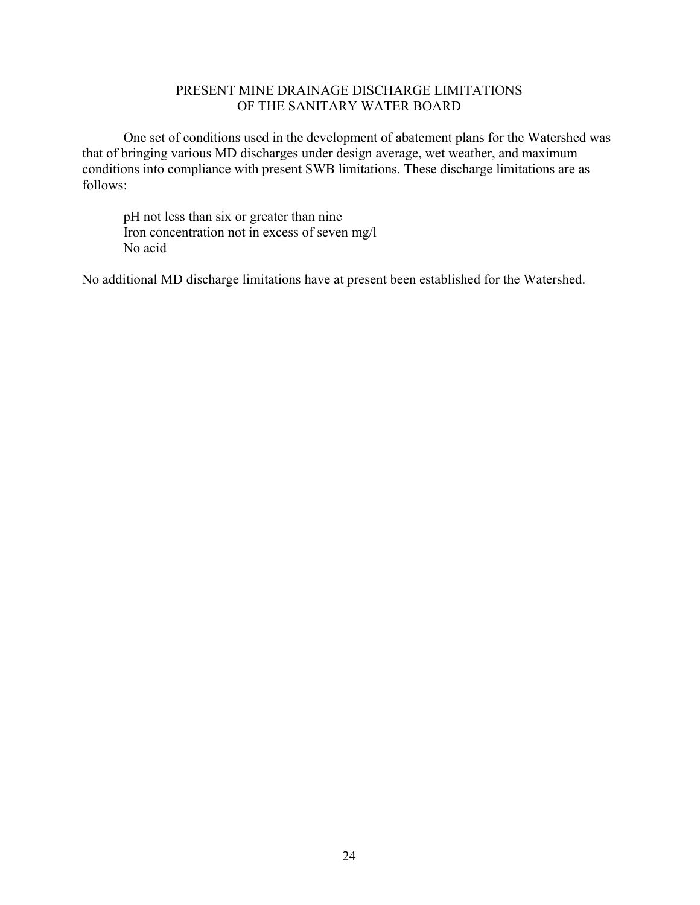# PRESENT MINE DRAINAGE DISCHARGE LIMITATIONS OF THE SANITARY WATER BOARD

One set of conditions used in the development of abatement plans for the Watershed was that of bringing various MD discharges under design average, wet weather, and maximum conditions into compliance with present SWB limitations. These discharge limitations are as follows:

pH not less than six or greater than nine Iron concentration not in excess of seven mg/l No acid

No additional MD discharge limitations have at present been established for the Watershed.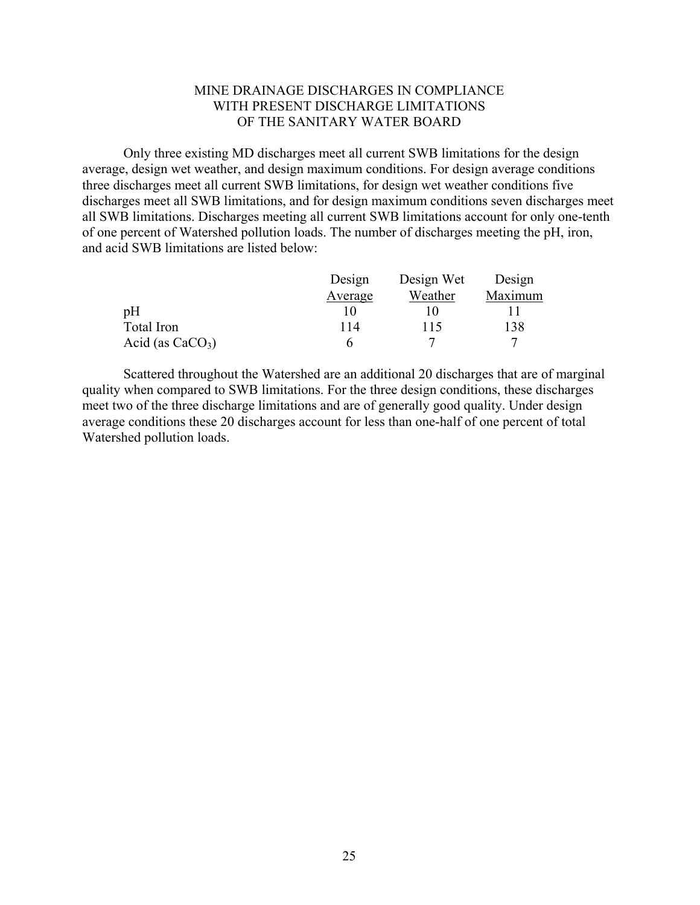## MINE DRAINAGE DISCHARGES IN COMPLIANCE WITH PRESENT DISCHARGE LIMITATIONS OF THE SANITARY WATER BOARD

Only three existing MD discharges meet all current SWB limitations for the design average, design wet weather, and design maximum conditions. For design average conditions three discharges meet all current SWB limitations, for design wet weather conditions five discharges meet all SWB limitations, and for design maximum conditions seven discharges meet all SWB limitations. Discharges meeting all current SWB limitations account for only one-tenth of one percent of Watershed pollution loads. The number of discharges meeting the pH, iron, and acid SWB limitations are listed below:

|                    | Design  | Design Wet | Design  |
|--------------------|---------|------------|---------|
|                    | Average | Weather    | Maximum |
| pH                 |         |            |         |
| Total Iron         | 114     | 115        | 138     |
| Acid (as $CaCO3$ ) |         |            |         |

Scattered throughout the Watershed are an additional 20 discharges that are of marginal quality when compared to SWB limitations. For the three design conditions, these discharges meet two of the three discharge limitations and are of generally good quality. Under design average conditions these 20 discharges account for less than one-half of one percent of total Watershed pollution loads.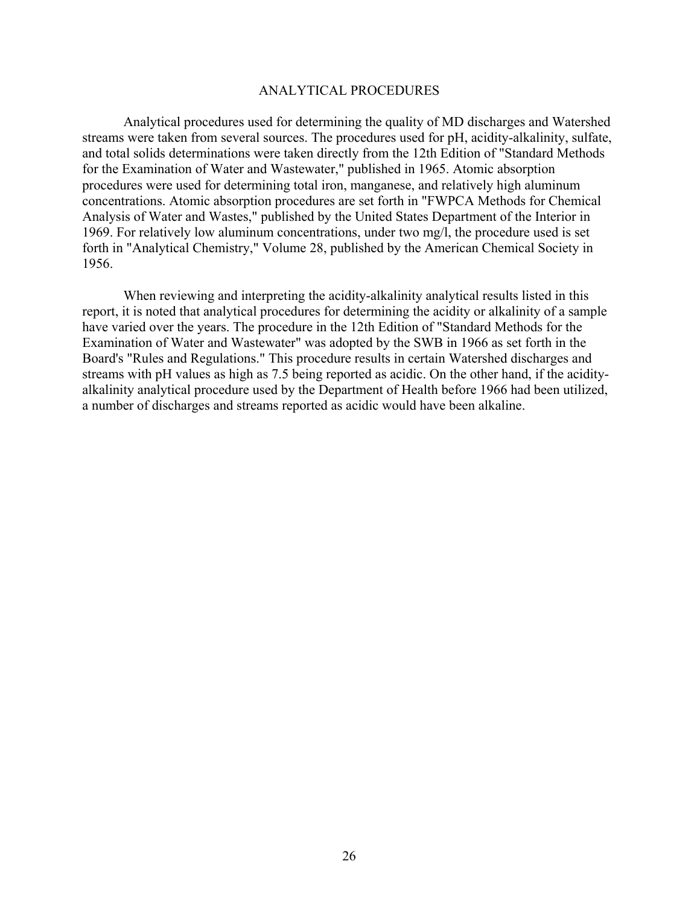#### ANALYTICAL PROCEDURES

Analytical procedures used for determining the quality of MD discharges and Watershed streams were taken from several sources. The procedures used for pH, acidity-alkalinity, sulfate, and total solids determinations were taken directly from the 12th Edition of "Standard Methods for the Examination of Water and Wastewater," published in 1965. Atomic absorption procedures were used for determining total iron, manganese, and relatively high aluminum concentrations. Atomic absorption procedures are set forth in "FWPCA Methods for Chemical Analysis of Water and Wastes," published by the United States Department of the Interior in 1969. For relatively low aluminum concentrations, under two mg/l, the procedure used is set forth in "Analytical Chemistry," Volume 28, published by the American Chemical Society in 1956.

When reviewing and interpreting the acidity-alkalinity analytical results listed in this report, it is noted that analytical procedures for determining the acidity or alkalinity of a sample have varied over the years. The procedure in the 12th Edition of "Standard Methods for the Examination of Water and Wastewater" was adopted by the SWB in 1966 as set forth in the Board's "Rules and Regulations." This procedure results in certain Watershed discharges and streams with pH values as high as 7.5 being reported as acidic. On the other hand, if the acidityalkalinity analytical procedure used by the Department of Health before 1966 had been utilized, a number of discharges and streams reported as acidic would have been alkaline.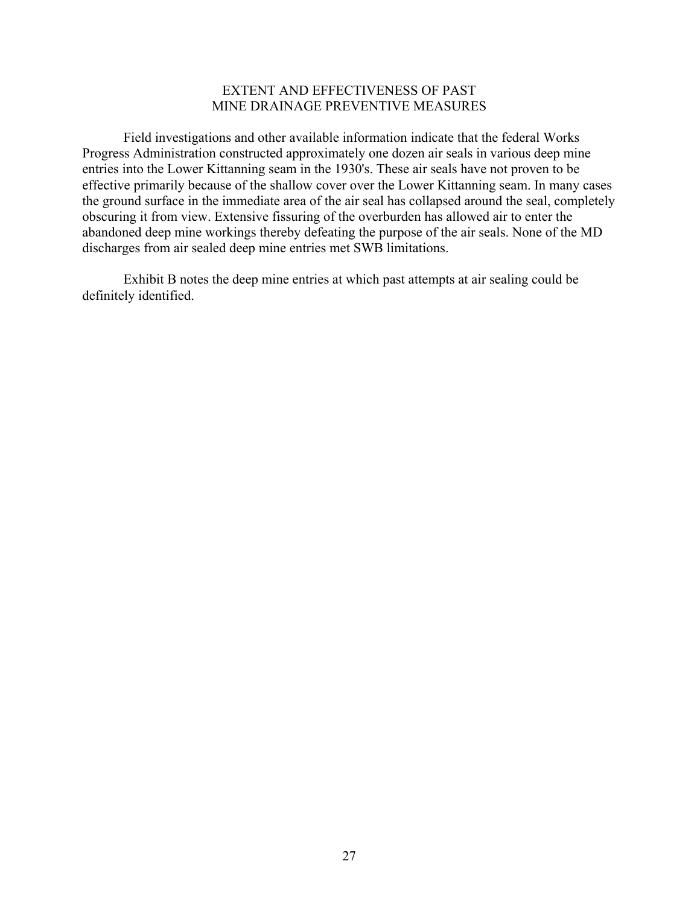## EXTENT AND EFFECTIVENESS OF PAST MINE DRAINAGE PREVENTIVE MEASURES

Field investigations and other available information indicate that the federal Works Progress Administration constructed approximately one dozen air seals in various deep mine entries into the Lower Kittanning seam in the 1930's. These air seals have not proven to be effective primarily because of the shallow cover over the Lower Kittanning seam. In many cases the ground surface in the immediate area of the air seal has collapsed around the seal, completely obscuring it from view. Extensive fissuring of the overburden has allowed air to enter the abandoned deep mine workings thereby defeating the purpose of the air seals. None of the MD discharges from air sealed deep mine entries met SWB limitations.

Exhibit B notes the deep mine entries at which past attempts at air sealing could be definitely identified.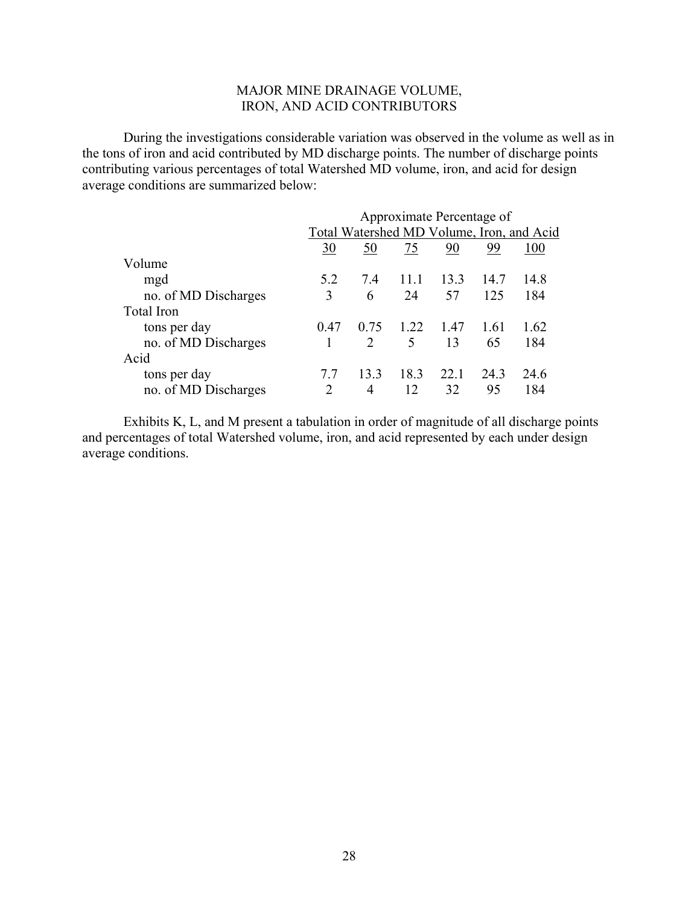# MAJOR MINE DRAINAGE VOLUME, IRON, AND ACID CONTRIBUTORS

During the investigations considerable variation was observed in the volume as well as in the tons of iron and acid contributed by MD discharge points. The number of discharge points contributing various percentages of total Watershed MD volume, iron, and acid for design average conditions are summarized below:

|                      | Approximate Percentage of |                                           |      |      |      |      |  |
|----------------------|---------------------------|-------------------------------------------|------|------|------|------|--|
|                      |                           | Total Watershed MD Volume, Iron, and Acid |      |      |      |      |  |
|                      | 30                        | 50                                        | 75   | 90   | 99   | 100  |  |
| Volume               |                           |                                           |      |      |      |      |  |
| mgd                  | 52                        | 74                                        | 11.1 | 13.3 | 14.7 | 14.8 |  |
| no. of MD Discharges | 3                         | 6                                         | 24   | 57   | 125  | 184  |  |
| Total Iron           |                           |                                           |      |      |      |      |  |
| tons per day         | 0.47                      | 0.75                                      | 1.22 | 1.47 | 1.61 | 1.62 |  |
| no. of MD Discharges |                           | $\mathcal{D}_{\mathcal{L}}$               | 5    | 13   | 65   | 184  |  |
| Acid                 |                           |                                           |      |      |      |      |  |
| tons per day         | 77                        | 133                                       | 18.3 | 22.1 | 243  | 24.6 |  |
| no. of MD Discharges | 2                         | 4                                         | 12   | 32   | 95   | 184  |  |

Exhibits K, L, and M present a tabulation in order of magnitude of all discharge points and percentages of total Watershed volume, iron, and acid represented by each under design average conditions.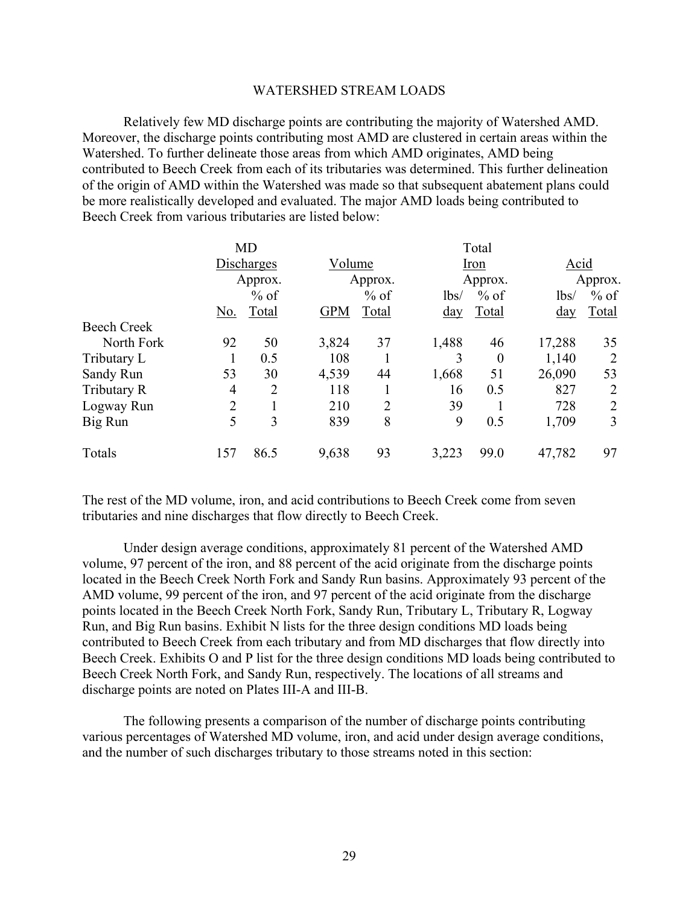#### WATERSHED STREAM LOADS

Relatively few MD discharge points are contributing the majority of Watershed AMD. Moreover, the discharge points contributing most AMD are clustered in certain areas within the Watershed. To further delineate those areas from which AMD originates, AMD being contributed to Beech Creek from each of its tributaries was determined. This further delineation of the origin of AMD within the Watershed was made so that subsequent abatement plans could be more realistically developed and evaluated. The major AMD loads being contributed to Beech Creek from various tributaries are listed below:

|                    |                | <b>MD</b>      |            |                |                 | Total            |                 |                |  |
|--------------------|----------------|----------------|------------|----------------|-----------------|------------------|-----------------|----------------|--|
|                    |                | Discharges     |            | Volume         |                 | Iron             |                 | Acid           |  |
|                    |                | Approx.        |            | Approx.        |                 | Approx.          |                 | Approx.        |  |
|                    |                | $%$ of         |            | $%$ of         | 1 <sub>bs</sub> | $%$ of           | 1 <sub>bs</sub> | $%$ of         |  |
|                    | <u>No.</u>     | Total          | <b>GPM</b> | Total          | <u>day</u>      | Total            | <u>day</u>      | Total          |  |
| <b>Beech Creek</b> |                |                |            |                |                 |                  |                 |                |  |
| North Fork         | 92             | 50             | 3,824      | 37             | 1,488           | 46               | 17,288          | 35             |  |
| Tributary L        |                | 0.5            | 108        |                | 3               | $\boldsymbol{0}$ | 1,140           | 2              |  |
| Sandy Run          | 53             | 30             | 4,539      | 44             | 1,668           | 51               | 26,090          | 53             |  |
| Tributary R        | $\overline{4}$ | $\overline{2}$ | 118        |                | 16              | 0.5              | 827             | 2              |  |
| Logway Run         | $\overline{2}$ |                | 210        | $\overline{2}$ | 39              |                  | 728             | $\overline{2}$ |  |
| Big Run            | 5              | 3              | 839        | 8              | 9               | 0.5              | 1,709           | 3              |  |
| Totals             | 157            | 86.5           | 9,638      | 93             | 3,223           | 99.0             | 47,782          | 97             |  |

The rest of the MD volume, iron, and acid contributions to Beech Creek come from seven tributaries and nine discharges that flow directly to Beech Creek.

Under design average conditions, approximately 81 percent of the Watershed AMD volume, 97 percent of the iron, and 88 percent of the acid originate from the discharge points located in the Beech Creek North Fork and Sandy Run basins. Approximately 93 percent of the AMD volume, 99 percent of the iron, and 97 percent of the acid originate from the discharge points located in the Beech Creek North Fork, Sandy Run, Tributary L, Tributary R, Logway Run, and Big Run basins. Exhibit N lists for the three design conditions MD loads being contributed to Beech Creek from each tributary and from MD discharges that flow directly into Beech Creek. Exhibits O and P list for the three design conditions MD loads being contributed to Beech Creek North Fork, and Sandy Run, respectively. The locations of all streams and discharge points are noted on Plates III-A and III-B.

The following presents a comparison of the number of discharge points contributing various percentages of Watershed MD volume, iron, and acid under design average conditions, and the number of such discharges tributary to those streams noted in this section: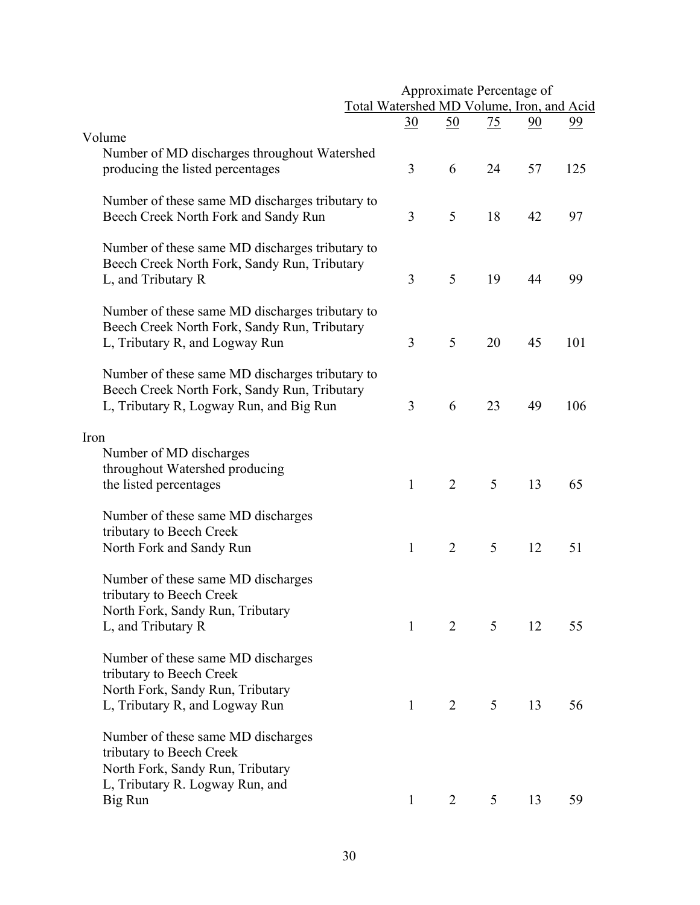|                                                                                                                                            |                                           |              |                | Approximate Percentage of |    |           |
|--------------------------------------------------------------------------------------------------------------------------------------------|-------------------------------------------|--------------|----------------|---------------------------|----|-----------|
|                                                                                                                                            | Total Watershed MD Volume, Iron, and Acid |              |                |                           |    |           |
|                                                                                                                                            |                                           | <u>30</u>    | <u>50</u>      | <u>75</u>                 | 90 | <u>99</u> |
| Volume<br>Number of MD discharges throughout Watershed<br>producing the listed percentages                                                 |                                           | 3            | 6              | 24                        | 57 | 125       |
| Number of these same MD discharges tributary to<br>Beech Creek North Fork and Sandy Run                                                    |                                           | 3            | 5              | 18                        | 42 | 97        |
| Number of these same MD discharges tributary to<br>Beech Creek North Fork, Sandy Run, Tributary<br>L, and Tributary R                      |                                           | 3            | 5              | 19                        | 44 | 99        |
| Number of these same MD discharges tributary to<br>Beech Creek North Fork, Sandy Run, Tributary<br>L, Tributary R, and Logway Run          |                                           | 3            | 5              | 20                        | 45 | 101       |
| Number of these same MD discharges tributary to<br>Beech Creek North Fork, Sandy Run, Tributary<br>L, Tributary R, Logway Run, and Big Run |                                           | 3            | 6              | 23                        | 49 | 106       |
| Iron                                                                                                                                       |                                           |              |                |                           |    |           |
| Number of MD discharges<br>throughout Watershed producing<br>the listed percentages                                                        |                                           | $\mathbf{1}$ | $\overline{2}$ | 5                         | 13 | 65        |
| Number of these same MD discharges<br>tributary to Beech Creek<br>North Fork and Sandy Run                                                 |                                           | 1            | $\overline{2}$ | 5                         | 12 | 51        |
| Number of these same MD discharges<br>tributary to Beech Creek<br>North Fork, Sandy Run, Tributary<br>L, and Tributary R                   |                                           | $\mathbf{1}$ | 2              | 5                         | 12 | 55        |
| Number of these same MD discharges<br>tributary to Beech Creek<br>North Fork, Sandy Run, Tributary                                         |                                           | $\mathbf{1}$ | $\overline{2}$ |                           |    |           |
| L, Tributary R, and Logway Run<br>Number of these same MD discharges<br>tributary to Beech Creek                                           |                                           |              |                | 5                         | 13 | 56        |
| North Fork, Sandy Run, Tributary<br>L, Tributary R. Logway Run, and<br>Big Run                                                             |                                           | $\mathbf{1}$ | 2              | 5                         | 13 | 59        |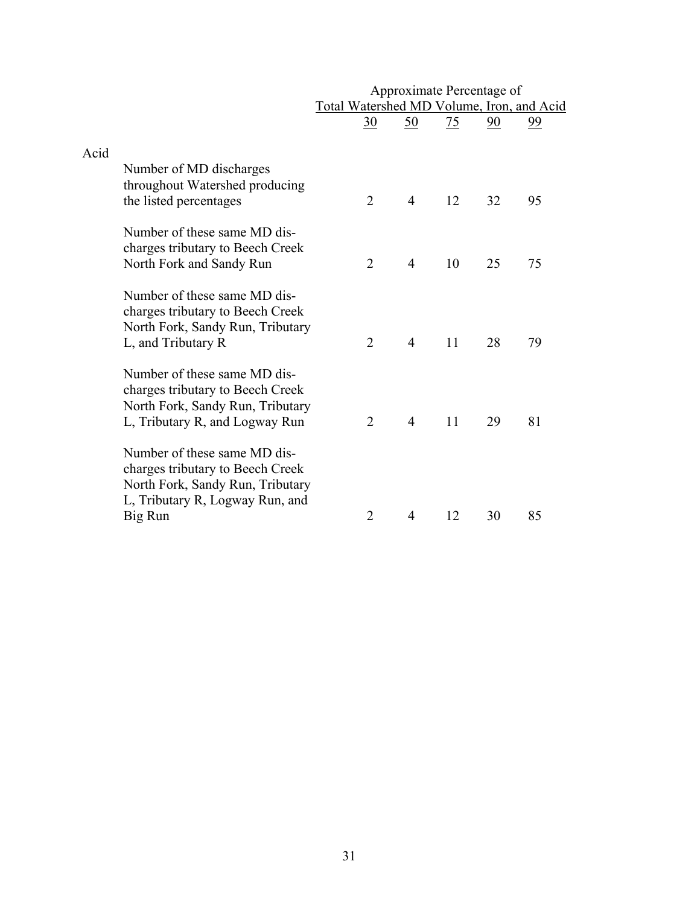|      |                                                                                                                                         |                                           | Approximate Percentage of |                 |    |                |
|------|-----------------------------------------------------------------------------------------------------------------------------------------|-------------------------------------------|---------------------------|-----------------|----|----------------|
|      |                                                                                                                                         | Total Watershed MD Volume, Iron, and Acid |                           |                 |    |                |
|      |                                                                                                                                         | $\underline{30}$                          | $\underline{50}$          | $\overline{25}$ | 90 | $\frac{99}{9}$ |
|      |                                                                                                                                         |                                           |                           |                 |    |                |
| Acid |                                                                                                                                         |                                           |                           |                 |    |                |
|      | Number of MD discharges<br>throughout Watershed producing<br>the listed percentages                                                     | $\overline{2}$                            | $\overline{4}$            | 12              | 32 | 95             |
|      |                                                                                                                                         |                                           |                           |                 |    |                |
|      | Number of these same MD dis-<br>charges tributary to Beech Creek<br>North Fork and Sandy Run                                            | $\overline{2}$                            | $\overline{4}$            | 10              | 25 | 75             |
|      | Number of these same MD dis-<br>charges tributary to Beech Creek<br>North Fork, Sandy Run, Tributary                                    |                                           |                           |                 |    |                |
|      | L, and Tributary R                                                                                                                      | $\overline{2}$                            | $\overline{4}$            | 11              | 28 | 79             |
|      | Number of these same MD dis-<br>charges tributary to Beech Creek<br>North Fork, Sandy Run, Tributary<br>L, Tributary R, and Logway Run  | $\overline{2}$                            | $\overline{4}$            | 11              | 29 | 81             |
|      | Number of these same MD dis-<br>charges tributary to Beech Creek<br>North Fork, Sandy Run, Tributary<br>L, Tributary R, Logway Run, and |                                           |                           |                 |    |                |
|      | Big Run                                                                                                                                 | 2                                         | 4                         | 12              | 30 | 85             |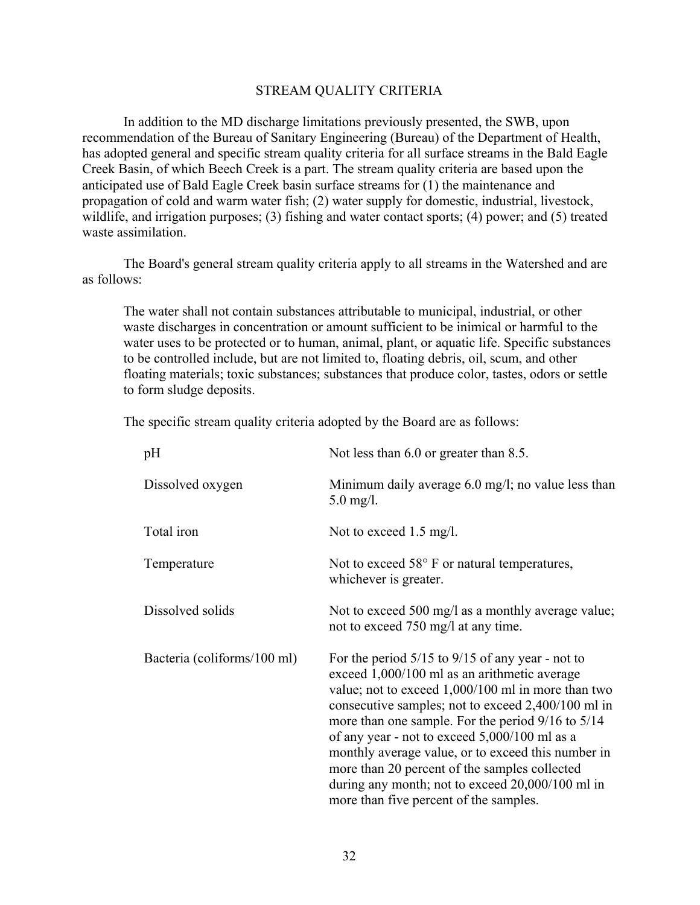#### STREAM QUALITY CRITERIA

In addition to the MD discharge limitations previously presented, the SWB, upon recommendation of the Bureau of Sanitary Engineering (Bureau) of the Department of Health, has adopted general and specific stream quality criteria for all surface streams in the Bald Eagle Creek Basin, of which Beech Creek is a part. The stream quality criteria are based upon the anticipated use of Bald Eagle Creek basin surface streams for (1) the maintenance and propagation of cold and warm water fish; (2) water supply for domestic, industrial, livestock, wildlife, and irrigation purposes; (3) fishing and water contact sports; (4) power; and (5) treated waste assimilation.

The Board's general stream quality criteria apply to all streams in the Watershed and are as follows:

The water shall not contain substances attributable to municipal, industrial, or other waste discharges in concentration or amount sufficient to be inimical or harmful to the water uses to be protected or to human, animal, plant, or aquatic life. Specific substances to be controlled include, but are not limited to, floating debris, oil, scum, and other floating materials; toxic substances; substances that produce color, tastes, odors or settle to form sludge deposits.

The specific stream quality criteria adopted by the Board are as follows:

| pH                          | Not less than 6.0 or greater than 8.5.                                                                                                                                                                                                                                                                                                                                                                                                                                                                                          |
|-----------------------------|---------------------------------------------------------------------------------------------------------------------------------------------------------------------------------------------------------------------------------------------------------------------------------------------------------------------------------------------------------------------------------------------------------------------------------------------------------------------------------------------------------------------------------|
| Dissolved oxygen            | Minimum daily average $6.0 \text{ mg/l}$ ; no value less than<br>$5.0 \text{ mg/l}.$                                                                                                                                                                                                                                                                                                                                                                                                                                            |
| Total iron                  | Not to exceed 1.5 mg/l.                                                                                                                                                                                                                                                                                                                                                                                                                                                                                                         |
| Temperature                 | Not to exceed 58° F or natural temperatures,<br>whichever is greater.                                                                                                                                                                                                                                                                                                                                                                                                                                                           |
| Dissolved solids            | Not to exceed 500 mg/l as a monthly average value;<br>not to exceed 750 mg/l at any time.                                                                                                                                                                                                                                                                                                                                                                                                                                       |
| Bacteria (coliforms/100 ml) | For the period $5/15$ to $9/15$ of any year - not to<br>exceed 1,000/100 ml as an arithmetic average<br>value; not to exceed $1,000/100$ ml in more than two<br>consecutive samples; not to exceed 2,400/100 ml in<br>more than one sample. For the period 9/16 to 5/14<br>of any year - not to exceed 5,000/100 ml as a<br>monthly average value, or to exceed this number in<br>more than 20 percent of the samples collected<br>during any month; not to exceed $20,000/100$ ml in<br>more than five percent of the samples. |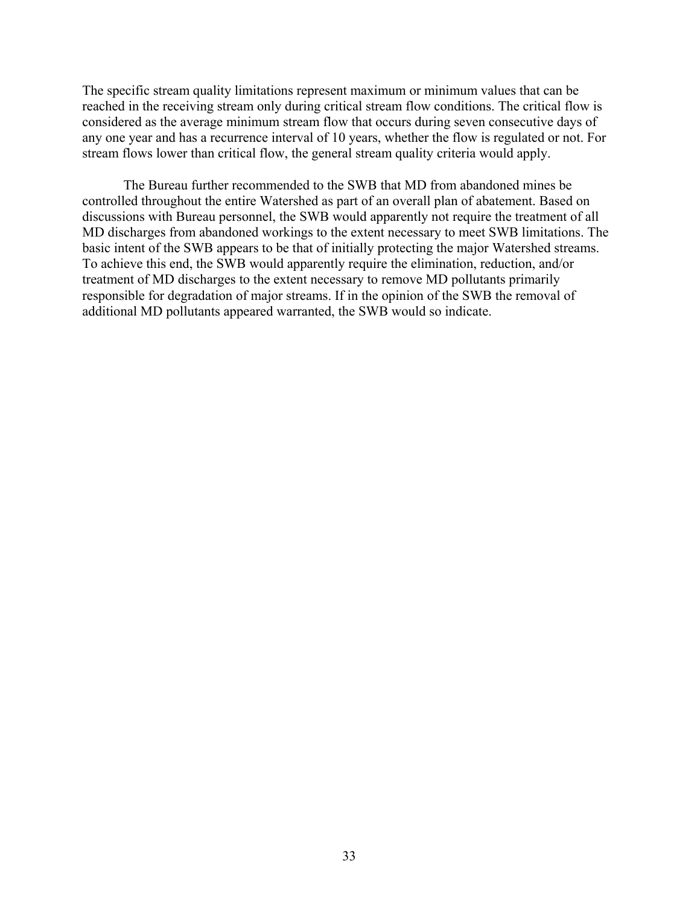The specific stream quality limitations represent maximum or minimum values that can be reached in the receiving stream only during critical stream flow conditions. The critical flow is considered as the average minimum stream flow that occurs during seven consecutive days of any one year and has a recurrence interval of 10 years, whether the flow is regulated or not. For stream flows lower than critical flow, the general stream quality criteria would apply.

The Bureau further recommended to the SWB that MD from abandoned mines be controlled throughout the entire Watershed as part of an overall plan of abatement. Based on discussions with Bureau personnel, the SWB would apparently not require the treatment of all MD discharges from abandoned workings to the extent necessary to meet SWB limitations. The basic intent of the SWB appears to be that of initially protecting the major Watershed streams. To achieve this end, the SWB would apparently require the elimination, reduction, and/or treatment of MD discharges to the extent necessary to remove MD pollutants primarily responsible for degradation of major streams. If in the opinion of the SWB the removal of additional MD pollutants appeared warranted, the SWB would so indicate.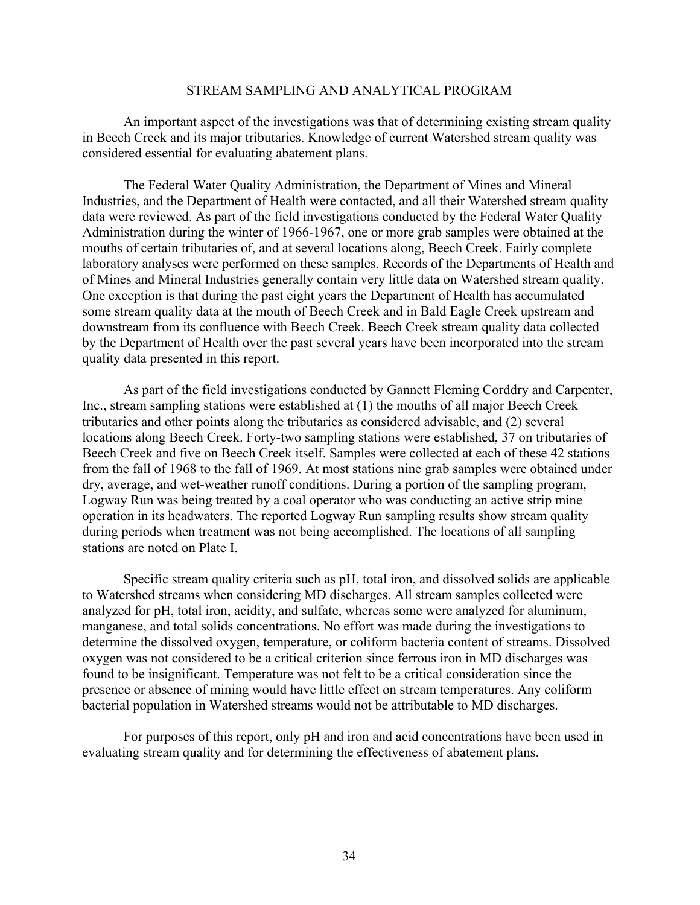#### STREAM SAMPLING AND ANALYTICAL PROGRAM

An important aspect of the investigations was that of determining existing stream quality in Beech Creek and its major tributaries. Knowledge of current Watershed stream quality was considered essential for evaluating abatement plans.

The Federal Water Quality Administration, the Department of Mines and Mineral Industries, and the Department of Health were contacted, and all their Watershed stream quality data were reviewed. As part of the field investigations conducted by the Federal Water Quality Administration during the winter of 1966-1967, one or more grab samples were obtained at the mouths of certain tributaries of, and at several locations along, Beech Creek. Fairly complete laboratory analyses were performed on these samples. Records of the Departments of Health and of Mines and Mineral Industries generally contain very little data on Watershed stream quality. One exception is that during the past eight years the Department of Health has accumulated some stream quality data at the mouth of Beech Creek and in Bald Eagle Creek upstream and downstream from its confluence with Beech Creek. Beech Creek stream quality data collected by the Department of Health over the past several years have been incorporated into the stream quality data presented in this report.

As part of the field investigations conducted by Gannett Fleming Corddry and Carpenter, Inc., stream sampling stations were established at (1) the mouths of all major Beech Creek tributaries and other points along the tributaries as considered advisable, and (2) several locations along Beech Creek. Forty-two sampling stations were established, 37 on tributaries of Beech Creek and five on Beech Creek itself. Samples were collected at each of these 42 stations from the fall of 1968 to the fall of 1969. At most stations nine grab samples were obtained under dry, average, and wet-weather runoff conditions. During a portion of the sampling program, Logway Run was being treated by a coal operator who was conducting an active strip mine operation in its headwaters. The reported Logway Run sampling results show stream quality during periods when treatment was not being accomplished. The locations of all sampling stations are noted on Plate I.

Specific stream quality criteria such as pH, total iron, and dissolved solids are applicable to Watershed streams when considering MD discharges. All stream samples collected were analyzed for pH, total iron, acidity, and sulfate, whereas some were analyzed for aluminum, manganese, and total solids concentrations. No effort was made during the investigations to determine the dissolved oxygen, temperature, or coliform bacteria content of streams. Dissolved oxygen was not considered to be a critical criterion since ferrous iron in MD discharges was found to be insignificant. Temperature was not felt to be a critical consideration since the presence or absence of mining would have little effect on stream temperatures. Any coliform bacterial population in Watershed streams would not be attributable to MD discharges.

For purposes of this report, only pH and iron and acid concentrations have been used in evaluating stream quality and for determining the effectiveness of abatement plans.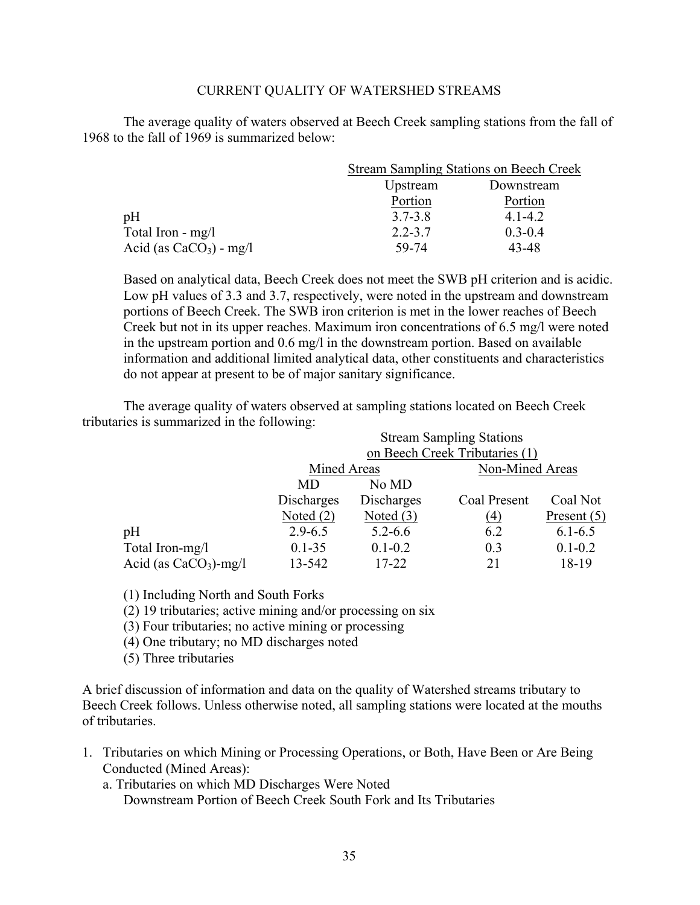## CURRENT QUALITY OF WATERSHED STREAMS

The average quality of waters observed at Beech Creek sampling stations from the fall of 1968 to the fall of 1969 is summarized below:

|                           | <b>Stream Sampling Stations on Beech Creek</b> |             |  |
|---------------------------|------------------------------------------------|-------------|--|
|                           | Upstream                                       | Downstream  |  |
|                           | Portion                                        | Portion     |  |
| pH                        | $3.7 - 3.8$                                    | $4.1 - 4.2$ |  |
| Total Iron - $mg/l$       | $2.2 - 3.7$                                    | $0.3 - 0.4$ |  |
| Acid (as $CaCO3$ ) - mg/l | 59-74                                          | 43-48       |  |

Based on analytical data, Beech Creek does not meet the SWB pH criterion and is acidic. Low pH values of 3.3 and 3.7, respectively, were noted in the upstream and downstream portions of Beech Creek. The SWB iron criterion is met in the lower reaches of Beech Creek but not in its upper reaches. Maximum iron concentrations of 6.5 mg/l were noted in the upstream portion and 0.6 mg/l in the downstream portion. Based on available information and additional limited analytical data, other constituents and characteristics do not appear at present to be of major sanitary significance.

The average quality of waters observed at sampling stations located on Beech Creek tributaries is summarized in the following:

|                         | <b>Stream Sampling Stations</b> |             |                 |               |  |  |
|-------------------------|---------------------------------|-------------|-----------------|---------------|--|--|
|                         | on Beech Creek Tributaries (1)  |             |                 |               |  |  |
|                         | Mined Areas                     |             | Non-Mined Areas |               |  |  |
|                         | MD                              | No MD       |                 |               |  |  |
|                         | Discharges                      | Discharges  | Coal Present    | Coal Not      |  |  |
|                         | Noted $(2)$                     | Noted $(3)$ | (4)             | Present $(5)$ |  |  |
| pH                      | $2.9 - 6.5$                     | $5.2 - 6.6$ | 6.2             | $6.1 - 6.5$   |  |  |
| Total Iron-mg/l         | $0.1 - 35$                      | $0.1 - 0.2$ | 0.3             | $0.1 - 0.2$   |  |  |
| Acid (as $CaCO3$ )-mg/l | 13-542                          | 17-22       | 21              | 18-19         |  |  |

(1) Including North and South Forks

(2) 19 tributaries; active mining and/or processing on six

(3) Four tributaries; no active mining or processing

(4) One tributary; no MD discharges noted

(5) Three tributaries

A brief discussion of information and data on the quality of Watershed streams tributary to Beech Creek follows. Unless otherwise noted, all sampling stations were located at the mouths of tributaries.

1. Tributaries on which Mining or Processing Operations, or Both, Have Been or Are Being Conducted (Mined Areas):

a. Tributaries on which MD Discharges Were Noted

Downstream Portion of Beech Creek South Fork and Its Tributaries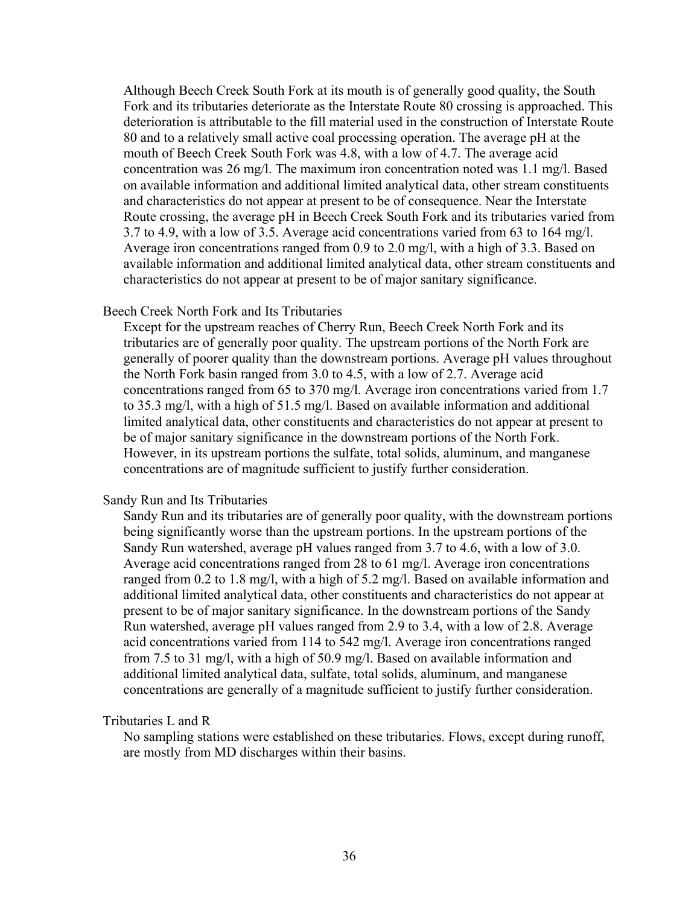Although Beech Creek South Fork at its mouth is of generally good quality, the South Fork and its tributaries deteriorate as the Interstate Route 80 crossing is approached. This deterioration is attributable to the fill material used in the construction of Interstate Route 80 and to a relatively small active coal processing operation. The average pH at the mouth of Beech Creek South Fork was 4.8, with a low of 4.7. The average acid concentration was 26 mg/l. The maximum iron concentration noted was 1.1 mg/l. Based on available information and additional limited analytical data, other stream constituents and characteristics do not appear at present to be of consequence. Near the Interstate Route crossing, the average pH in Beech Creek South Fork and its tributaries varied from 3.7 to 4.9, with a low of 3.5. Average acid concentrations varied from 63 to 164 mg/l. Average iron concentrations ranged from 0.9 to 2.0 mg/l, with a high of 3.3. Based on available information and additional limited analytical data, other stream constituents and characteristics do not appear at present to be of major sanitary significance.

## Beech Creek North Fork and Its Tributaries

Except for the upstream reaches of Cherry Run, Beech Creek North Fork and its tributaries are of generally poor quality. The upstream portions of the North Fork are generally of poorer quality than the downstream portions. Average pH values throughout the North Fork basin ranged from 3.0 to 4.5, with a low of 2.7. Average acid concentrations ranged from 65 to 370 mg/l. Average iron concentrations varied from 1.7 to 35.3 mg/l, with a high of 51.5 mg/l. Based on available information and additional limited analytical data, other constituents and characteristics do not appear at present to be of major sanitary significance in the downstream portions of the North Fork. However, in its upstream portions the sulfate, total solids, aluminum, and manganese concentrations are of magnitude sufficient to justify further consideration.

#### Sandy Run and Its Tributaries

Sandy Run and its tributaries are of generally poor quality, with the downstream portions being significantly worse than the upstream portions. In the upstream portions of the Sandy Run watershed, average pH values ranged from 3.7 to 4.6, with a low of 3.0. Average acid concentrations ranged from 28 to 61 mg/l. Average iron concentrations ranged from 0.2 to 1.8 mg/l, with a high of 5.2 mg/l. Based on available information and additional limited analytical data, other constituents and characteristics do not appear at present to be of major sanitary significance. In the downstream portions of the Sandy Run watershed, average pH values ranged from 2.9 to 3.4, with a low of 2.8. Average acid concentrations varied from 114 to 542 mg/l. Average iron concentrations ranged from 7.5 to 31 mg/l, with a high of 50.9 mg/l. Based on available information and additional limited analytical data, sulfate, total solids, aluminum, and manganese concentrations are generally of a magnitude sufficient to justify further consideration.

#### Tributaries L and R

No sampling stations were established on these tributaries. Flows, except during runoff, are mostly from MD discharges within their basins.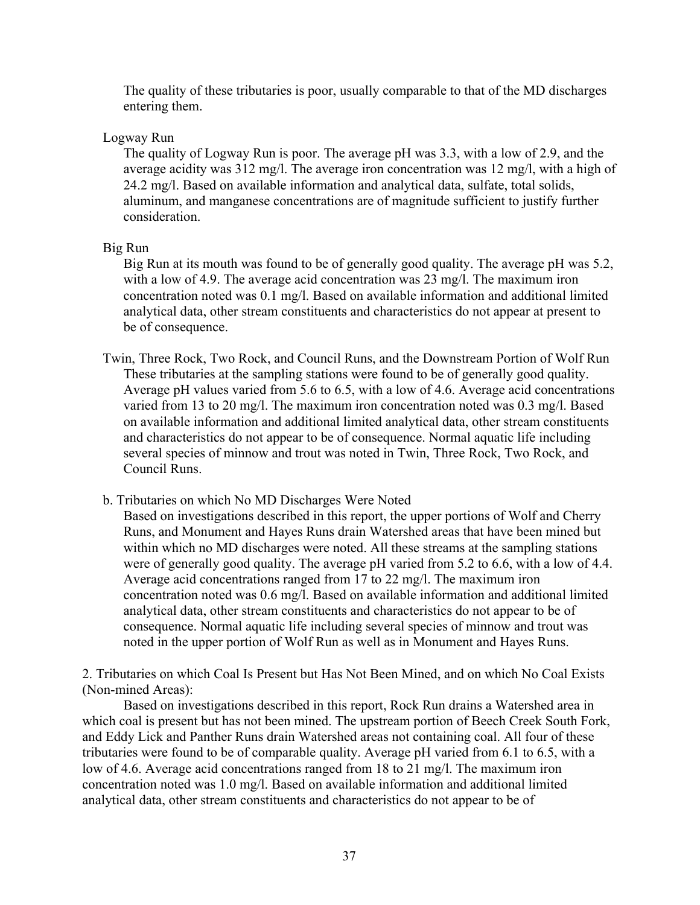The quality of these tributaries is poor, usually comparable to that of the MD discharges entering them.

# Logway Run

The quality of Logway Run is poor. The average pH was 3.3, with a low of 2.9, and the average acidity was 312 mg/l. The average iron concentration was 12 mg/l, with a high of 24.2 mg/l. Based on available information and analytical data, sulfate, total solids, aluminum, and manganese concentrations are of magnitude sufficient to justify further consideration.

# Big Run

Big Run at its mouth was found to be of generally good quality. The average pH was 5.2, with a low of 4.9. The average acid concentration was 23 mg/l. The maximum iron concentration noted was 0.1 mg/l. Based on available information and additional limited analytical data, other stream constituents and characteristics do not appear at present to be of consequence.

- Twin, Three Rock, Two Rock, and Council Runs, and the Downstream Portion of Wolf Run These tributaries at the sampling stations were found to be of generally good quality. Average pH values varied from 5.6 to 6.5, with a low of 4.6. Average acid concentrations varied from 13 to 20 mg/l. The maximum iron concentration noted was 0.3 mg/l. Based on available information and additional limited analytical data, other stream constituents and characteristics do not appear to be of consequence. Normal aquatic life including several species of minnow and trout was noted in Twin, Three Rock, Two Rock, and Council Runs.
- b. Tributaries on which No MD Discharges Were Noted

Based on investigations described in this report, the upper portions of Wolf and Cherry Runs, and Monument and Hayes Runs drain Watershed areas that have been mined but within which no MD discharges were noted. All these streams at the sampling stations were of generally good quality. The average pH varied from 5.2 to 6.6, with a low of 4.4. Average acid concentrations ranged from 17 to 22 mg/l. The maximum iron concentration noted was 0.6 mg/l. Based on available information and additional limited analytical data, other stream constituents and characteristics do not appear to be of consequence. Normal aquatic life including several species of minnow and trout was noted in the upper portion of Wolf Run as well as in Monument and Hayes Runs.

2. Tributaries on which Coal Is Present but Has Not Been Mined, and on which No Coal Exists (Non-mined Areas):

Based on investigations described in this report, Rock Run drains a Watershed area in which coal is present but has not been mined. The upstream portion of Beech Creek South Fork, and Eddy Lick and Panther Runs drain Watershed areas not containing coal. All four of these tributaries were found to be of comparable quality. Average pH varied from 6.1 to 6.5, with a low of 4.6. Average acid concentrations ranged from 18 to 21 mg/l. The maximum iron concentration noted was 1.0 mg/l. Based on available information and additional limited analytical data, other stream constituents and characteristics do not appear to be of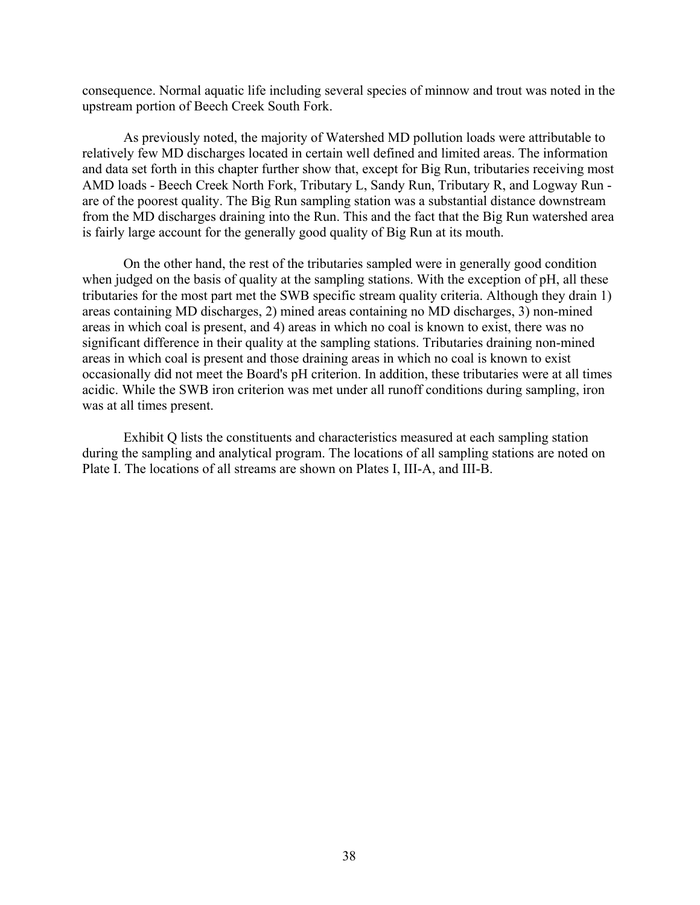consequence. Normal aquatic life including several species of minnow and trout was noted in the upstream portion of Beech Creek South Fork.

As previously noted, the majority of Watershed MD pollution loads were attributable to relatively few MD discharges located in certain well defined and limited areas. The information and data set forth in this chapter further show that, except for Big Run, tributaries receiving most AMD loads - Beech Creek North Fork, Tributary L, Sandy Run, Tributary R, and Logway Run are of the poorest quality. The Big Run sampling station was a substantial distance downstream from the MD discharges draining into the Run. This and the fact that the Big Run watershed area is fairly large account for the generally good quality of Big Run at its mouth.

On the other hand, the rest of the tributaries sampled were in generally good condition when judged on the basis of quality at the sampling stations. With the exception of pH, all these tributaries for the most part met the SWB specific stream quality criteria. Although they drain 1) areas containing MD discharges, 2) mined areas containing no MD discharges, 3) non-mined areas in which coal is present, and 4) areas in which no coal is known to exist, there was no significant difference in their quality at the sampling stations. Tributaries draining non-mined areas in which coal is present and those draining areas in which no coal is known to exist occasionally did not meet the Board's pH criterion. In addition, these tributaries were at all times acidic. While the SWB iron criterion was met under all runoff conditions during sampling, iron was at all times present.

Exhibit Q lists the constituents and characteristics measured at each sampling station during the sampling and analytical program. The locations of all sampling stations are noted on Plate I. The locations of all streams are shown on Plates I, III-A, and III-B.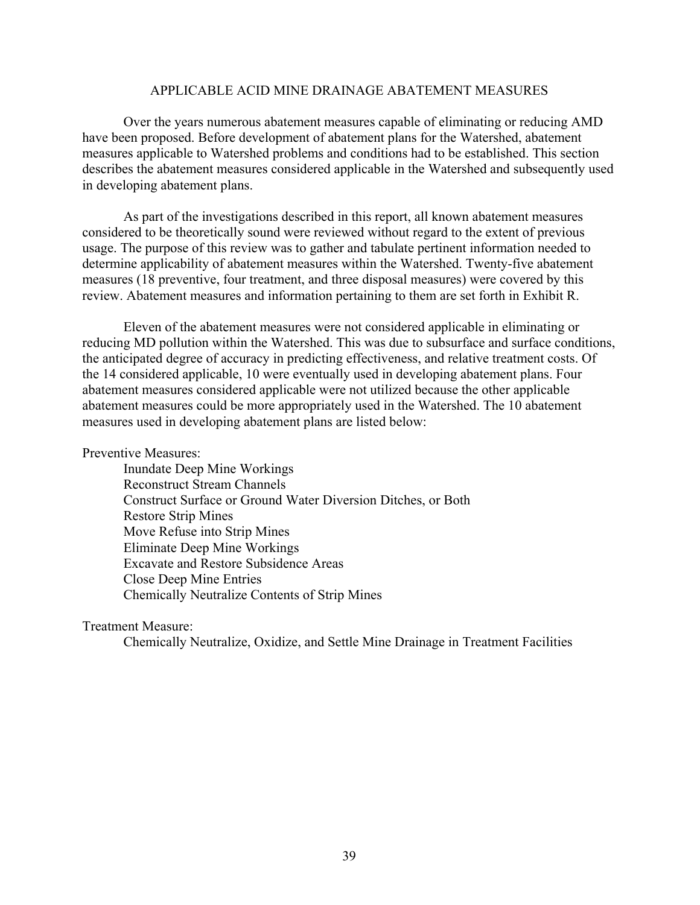#### APPLICABLE ACID MINE DRAINAGE ABATEMENT MEASURES

Over the years numerous abatement measures capable of eliminating or reducing AMD have been proposed. Before development of abatement plans for the Watershed, abatement measures applicable to Watershed problems and conditions had to be established. This section describes the abatement measures considered applicable in the Watershed and subsequently used in developing abatement plans.

As part of the investigations described in this report, all known abatement measures considered to be theoretically sound were reviewed without regard to the extent of previous usage. The purpose of this review was to gather and tabulate pertinent information needed to determine applicability of abatement measures within the Watershed. Twenty-five abatement measures (18 preventive, four treatment, and three disposal measures) were covered by this review. Abatement measures and information pertaining to them are set forth in Exhibit R.

Eleven of the abatement measures were not considered applicable in eliminating or reducing MD pollution within the Watershed. This was due to subsurface and surface conditions, the anticipated degree of accuracy in predicting effectiveness, and relative treatment costs. Of the 14 considered applicable, 10 were eventually used in developing abatement plans. Four abatement measures considered applicable were not utilized because the other applicable abatement measures could be more appropriately used in the Watershed. The 10 abatement measures used in developing abatement plans are listed below:

## Preventive Measures:

Inundate Deep Mine Workings Reconstruct Stream Channels Construct Surface or Ground Water Diversion Ditches, or Both Restore Strip Mines Move Refuse into Strip Mines Eliminate Deep Mine Workings Excavate and Restore Subsidence Areas Close Deep Mine Entries Chemically Neutralize Contents of Strip Mines

#### Treatment Measure:

Chemically Neutralize, Oxidize, and Settle Mine Drainage in Treatment Facilities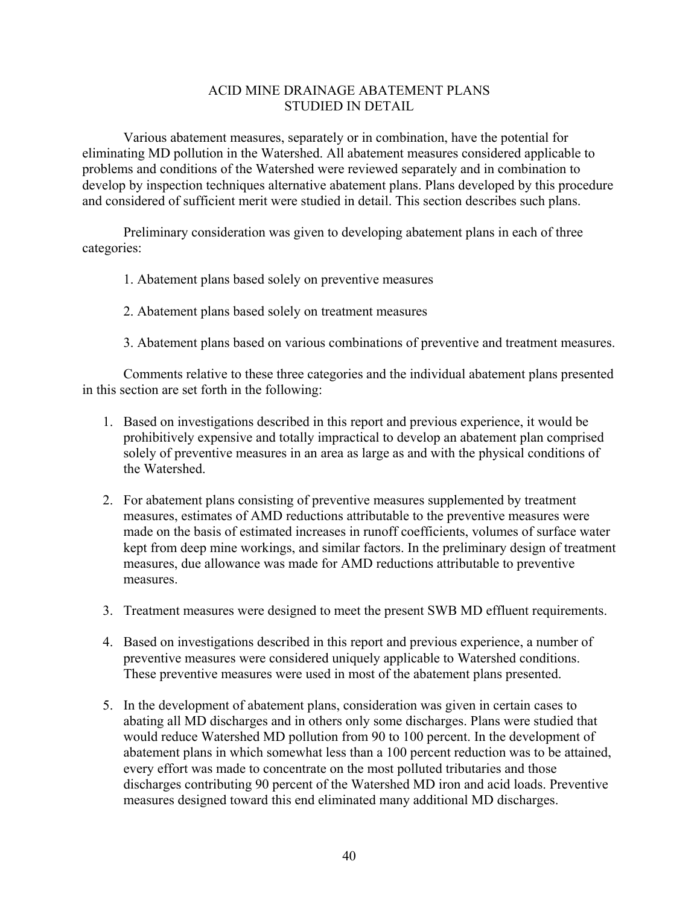# ACID MINE DRAINAGE ABATEMENT PLANS STUDIED IN DETAIL

Various abatement measures, separately or in combination, have the potential for eliminating MD pollution in the Watershed. All abatement measures considered applicable to problems and conditions of the Watershed were reviewed separately and in combination to develop by inspection techniques alternative abatement plans. Plans developed by this procedure and considered of sufficient merit were studied in detail. This section describes such plans.

Preliminary consideration was given to developing abatement plans in each of three categories:

- 1. Abatement plans based solely on preventive measures
- 2. Abatement plans based solely on treatment measures
- 3. Abatement plans based on various combinations of preventive and treatment measures.

Comments relative to these three categories and the individual abatement plans presented in this section are set forth in the following:

- 1. Based on investigations described in this report and previous experience, it would be prohibitively expensive and totally impractical to develop an abatement plan comprised solely of preventive measures in an area as large as and with the physical conditions of the Watershed.
- 2. For abatement plans consisting of preventive measures supplemented by treatment measures, estimates of AMD reductions attributable to the preventive measures were made on the basis of estimated increases in runoff coefficients, volumes of surface water kept from deep mine workings, and similar factors. In the preliminary design of treatment measures, due allowance was made for AMD reductions attributable to preventive measures.
- 3. Treatment measures were designed to meet the present SWB MD effluent requirements.
- 4. Based on investigations described in this report and previous experience, a number of preventive measures were considered uniquely applicable to Watershed conditions. These preventive measures were used in most of the abatement plans presented.
- 5. In the development of abatement plans, consideration was given in certain cases to abating all MD discharges and in others only some discharges. Plans were studied that would reduce Watershed MD pollution from 90 to 100 percent. In the development of abatement plans in which somewhat less than a 100 percent reduction was to be attained, every effort was made to concentrate on the most polluted tributaries and those discharges contributing 90 percent of the Watershed MD iron and acid loads. Preventive measures designed toward this end eliminated many additional MD discharges.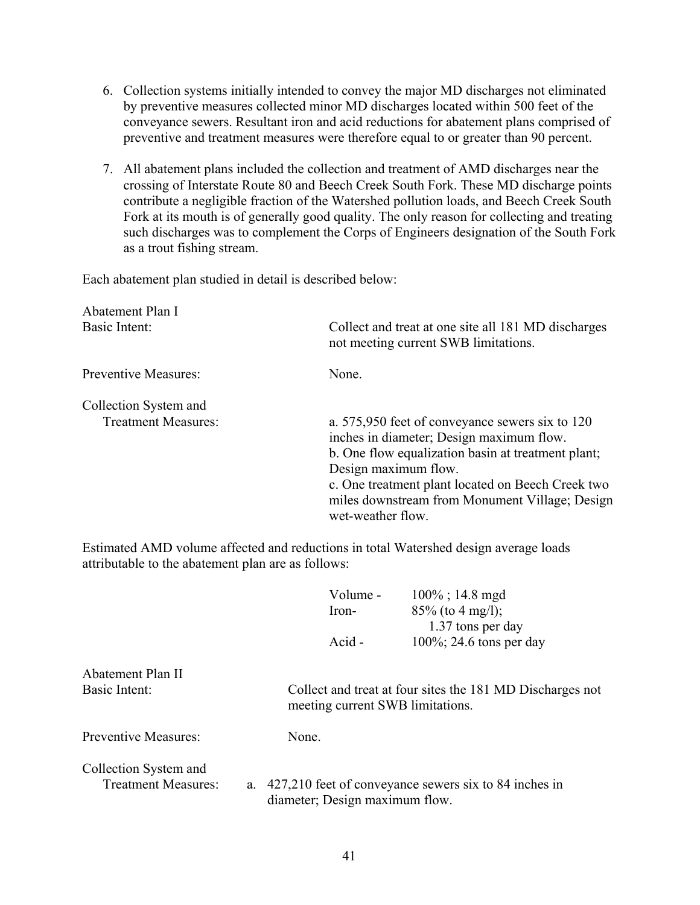- 6. Collection systems initially intended to convey the major MD discharges not eliminated by preventive measures collected minor MD discharges located within 500 feet of the conveyance sewers. Resultant iron and acid reductions for abatement plans comprised of preventive and treatment measures were therefore equal to or greater than 90 percent.
- 7. All abatement plans included the collection and treatment of AMD discharges near the crossing of Interstate Route 80 and Beech Creek South Fork. These MD discharge points contribute a negligible fraction of the Watershed pollution loads, and Beech Creek South Fork at its mouth is of generally good quality. The only reason for collecting and treating such discharges was to complement the Corps of Engineers designation of the South Fork as a trout fishing stream.

Each abatement plan studied in detail is described below:

| Abatement Plan I<br>Basic Intent:                   | Collect and treat at one site all 181 MD discharges<br>not meeting current SWB limitations.                                                                                                                                                                                                           |
|-----------------------------------------------------|-------------------------------------------------------------------------------------------------------------------------------------------------------------------------------------------------------------------------------------------------------------------------------------------------------|
| <b>Preventive Measures:</b>                         | None                                                                                                                                                                                                                                                                                                  |
| Collection System and<br><b>Treatment Measures:</b> | a. 575,950 feet of conveyance sewers six to 120<br>inches in diameter; Design maximum flow.<br>b. One flow equalization basin at treatment plant;<br>Design maximum flow.<br>c. One treatment plant located on Beech Creek two<br>miles downstream from Monument Village; Design<br>wet-weather flow. |

|                             |    | Volume -                         | $100\%$ ; 14.8 mgd                                        |
|-----------------------------|----|----------------------------------|-----------------------------------------------------------|
|                             |    | Iron-                            | $85\%$ (to 4 mg/l);                                       |
|                             |    |                                  | 1.37 tons per day                                         |
|                             |    | Acid -                           | $100\%$ ; 24.6 tons per day                               |
| Abatement Plan II           |    |                                  |                                                           |
| Basic Intent:               |    | meeting current SWB limitations. | Collect and treat at four sites the 181 MD Discharges not |
| <b>Preventive Measures:</b> |    | None.                            |                                                           |
| Collection System and       |    |                                  |                                                           |
| <b>Treatment Measures:</b>  | a. | diameter; Design maximum flow.   | 427,210 feet of conveyance sewers six to 84 inches in     |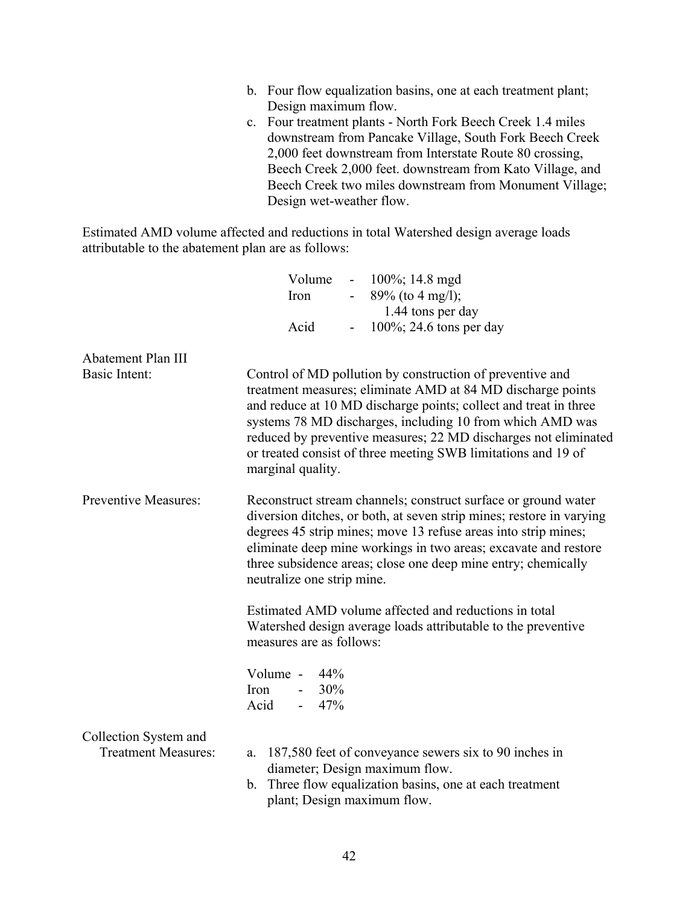- b. Four flow equalization basins, one at each treatment plant; Design maximum flow.
- c. Four treatment plants North Fork Beech Creek 1.4 miles downstream from Pancake Village, South Fork Beech Creek 2,000 feet downstream from Interstate Route 80 crossing, Beech Creek 2,000 feet. downstream from Kato Village, and Beech Creek two miles downstream from Monument Village; Design wet-weather flow.

|                                                     | Volume<br>$-100\%$ ; 14.8 mgd                                                                                                                                                                                                                                                                                                                                                                                      |
|-----------------------------------------------------|--------------------------------------------------------------------------------------------------------------------------------------------------------------------------------------------------------------------------------------------------------------------------------------------------------------------------------------------------------------------------------------------------------------------|
|                                                     | $89\%$ (to 4 mg/l);<br>Iron<br>$\blacksquare$                                                                                                                                                                                                                                                                                                                                                                      |
|                                                     | 1.44 tons per day                                                                                                                                                                                                                                                                                                                                                                                                  |
|                                                     | $100\%$ ; 24.6 tons per day<br>Acid<br>$\overline{\phantom{0}}$                                                                                                                                                                                                                                                                                                                                                    |
| Abatement Plan III                                  |                                                                                                                                                                                                                                                                                                                                                                                                                    |
| Basic Intent:                                       | Control of MD pollution by construction of preventive and<br>treatment measures; eliminate AMD at 84 MD discharge points<br>and reduce at 10 MD discharge points; collect and treat in three<br>systems 78 MD discharges, including 10 from which AMD was<br>reduced by preventive measures; 22 MD discharges not eliminated<br>or treated consist of three meeting SWB limitations and 19 of<br>marginal quality. |
| <b>Preventive Measures:</b>                         | Reconstruct stream channels; construct surface or ground water<br>diversion ditches, or both, at seven strip mines; restore in varying<br>degrees 45 strip mines; move 13 refuse areas into strip mines;<br>eliminate deep mine workings in two areas; excavate and restore<br>three subsidence areas; close one deep mine entry; chemically<br>neutralize one strip mine.                                         |
|                                                     | Estimated AMD volume affected and reductions in total<br>Watershed design average loads attributable to the preventive<br>measures are as follows:                                                                                                                                                                                                                                                                 |
|                                                     | Volume - $44\%$<br>Iron<br>$-30\%$<br>$-47%$<br>Acid                                                                                                                                                                                                                                                                                                                                                               |
| Collection System and<br><b>Treatment Measures:</b> | 187,580 feet of conveyance sewers six to 90 inches in<br>a.<br>diameter; Design maximum flow.<br>b. Three flow equalization basins, one at each treatment<br>plant; Design maximum flow.                                                                                                                                                                                                                           |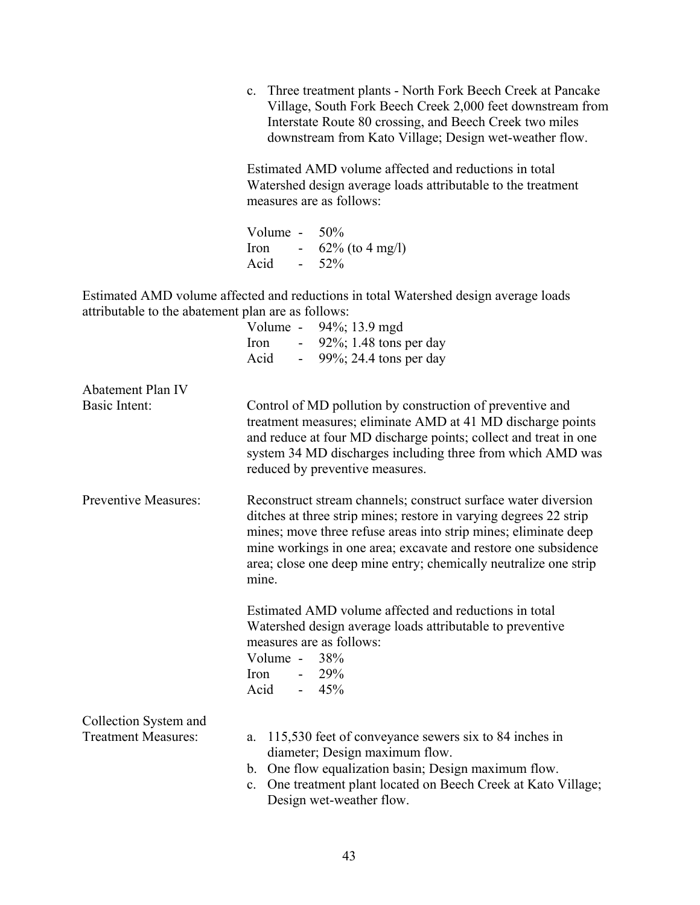c. Three treatment plants - North Fork Beech Creek at Pancake Village, South Fork Beech Creek 2,000 feet downstream from Interstate Route 80 crossing, and Beech Creek two miles downstream from Kato Village; Design wet-weather flow.

Estimated AMD volume affected and reductions in total Watershed design average loads attributable to the treatment measures are as follows:

| Volume - |    | 50%                |
|----------|----|--------------------|
| Iron     | ۰. | $62\%$ (to 4 mg/l) |
| Acid     | ۰. | 52%                |

|                                    | Volume - 94%; 13.9 mgd<br>- $92\%$ ; 1.48 tons per day<br>Iron<br>Acid                                                                                                                                                                                                                                                                                |
|------------------------------------|-------------------------------------------------------------------------------------------------------------------------------------------------------------------------------------------------------------------------------------------------------------------------------------------------------------------------------------------------------|
|                                    | - $99\%$ ; 24.4 tons per day                                                                                                                                                                                                                                                                                                                          |
| Abatement Plan IV<br>Basic Intent: | Control of MD pollution by construction of preventive and<br>treatment measures; eliminate AMD at 41 MD discharge points<br>and reduce at four MD discharge points; collect and treat in one<br>system 34 MD discharges including three from which AMD was<br>reduced by preventive measures.                                                         |
| <b>Preventive Measures:</b>        | Reconstruct stream channels; construct surface water diversion<br>ditches at three strip mines; restore in varying degrees 22 strip<br>mines; move three refuse areas into strip mines; eliminate deep<br>mine workings in one area; excavate and restore one subsidence<br>area; close one deep mine entry; chemically neutralize one strip<br>mine. |
|                                    | Estimated AMD volume affected and reductions in total<br>Watershed design average loads attributable to preventive<br>measures are as follows:<br>Volume - $38\%$<br>Iron<br>$-29\%$<br>Acid<br>$-45%$                                                                                                                                                |
| Collection System and              |                                                                                                                                                                                                                                                                                                                                                       |
| <b>Treatment Measures:</b>         | 115,530 feet of conveyance sewers six to 84 inches in<br>a.<br>diameter; Design maximum flow.                                                                                                                                                                                                                                                         |
|                                    | b. One flow equalization basin; Design maximum flow.<br>One treatment plant located on Beech Creek at Kato Village;<br>$\mathbf{c}$ .<br>Design wet-weather flow.                                                                                                                                                                                     |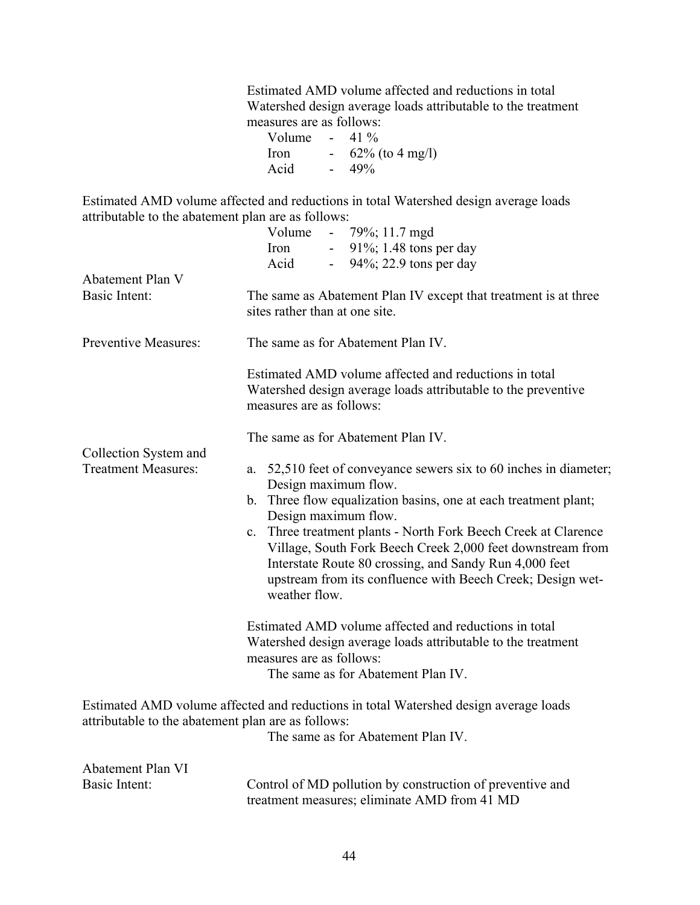Estimated AMD volume affected and reductions in total Watershed design average loads attributable to the treatment measures are as follows:

Volume -  $41\%$ <br>Iron -  $62\%$  $- 62\%$  (to 4 mg/l) Acid - 49%

|                                                     | Volume<br>$-79\%$ ; 11.7 mgd                                                                                                                                                                                                                                                         |  |  |  |
|-----------------------------------------------------|--------------------------------------------------------------------------------------------------------------------------------------------------------------------------------------------------------------------------------------------------------------------------------------|--|--|--|
|                                                     | 91%; 1.48 tons per day<br>Iron<br>94%; 22.9 tons per day<br>Acid                                                                                                                                                                                                                     |  |  |  |
| Abatement Plan V                                    | $\blacksquare$                                                                                                                                                                                                                                                                       |  |  |  |
| <b>Basic Intent:</b>                                | The same as Abatement Plan IV except that treatment is at three<br>sites rather than at one site.                                                                                                                                                                                    |  |  |  |
| <b>Preventive Measures:</b>                         | The same as for Abatement Plan IV.                                                                                                                                                                                                                                                   |  |  |  |
|                                                     | Estimated AMD volume affected and reductions in total<br>Watershed design average loads attributable to the preventive<br>measures are as follows:                                                                                                                                   |  |  |  |
|                                                     | The same as for Abatement Plan IV.                                                                                                                                                                                                                                                   |  |  |  |
| Collection System and<br><b>Treatment Measures:</b> | a. 52,510 feet of conveyance sewers six to 60 inches in diameter;<br>Design maximum flow.                                                                                                                                                                                            |  |  |  |
|                                                     | b. Three flow equalization basins, one at each treatment plant;<br>Design maximum flow.                                                                                                                                                                                              |  |  |  |
|                                                     | Three treatment plants - North Fork Beech Creek at Clarence<br>$\mathbf{c}$ .<br>Village, South Fork Beech Creek 2,000 feet downstream from<br>Interstate Route 80 crossing, and Sandy Run 4,000 feet<br>upstream from its confluence with Beech Creek; Design wet-<br>weather flow. |  |  |  |
|                                                     | Estimated AMD volume affected and reductions in total<br>Watershed design average loads attributable to the treatment<br>measures are as follows:<br>The same as for Abatement Plan IV.                                                                                              |  |  |  |
| attributable to the abatement plan are as follows:  | Estimated AMD volume affected and reductions in total Watershed design average loads                                                                                                                                                                                                 |  |  |  |
|                                                     | The same as for Abatement Plan IV.                                                                                                                                                                                                                                                   |  |  |  |
| Abatement Plan VI                                   |                                                                                                                                                                                                                                                                                      |  |  |  |
| Basic Intent:                                       | Control of MD pollution by construction of preventive and<br>treatment measures; eliminate AMD from 41 MD                                                                                                                                                                            |  |  |  |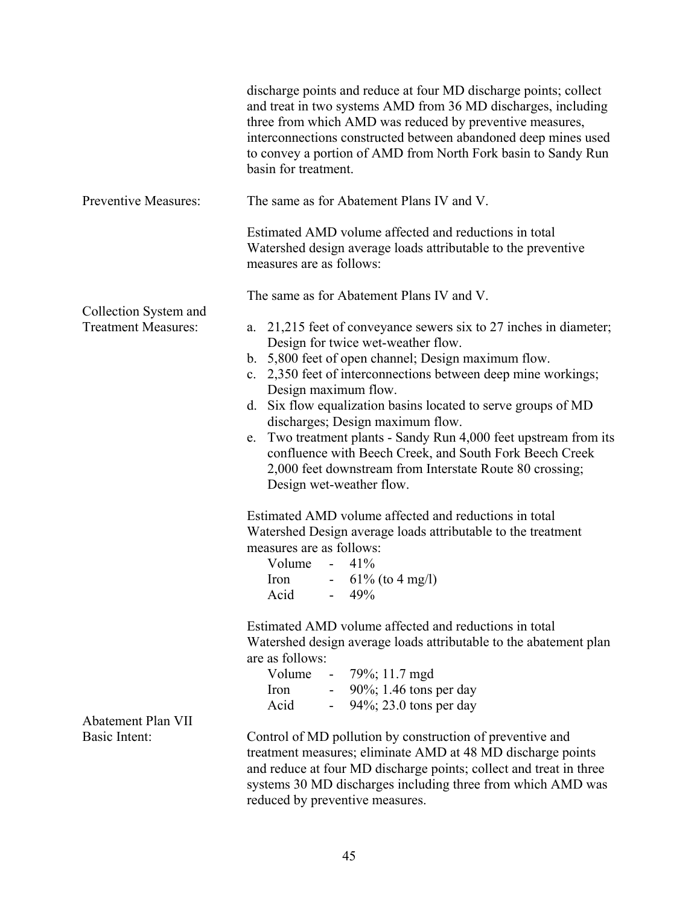|                                                     | discharge points and reduce at four MD discharge points; collect<br>and treat in two systems AMD from 36 MD discharges, including<br>three from which AMD was reduced by preventive measures,<br>interconnections constructed between abandoned deep mines used<br>to convey a portion of AMD from North Fork basin to Sandy Run<br>basin for treatment.                                                                                                                                                                                                                                                                                                                                                                                                                                                                    |  |  |  |
|-----------------------------------------------------|-----------------------------------------------------------------------------------------------------------------------------------------------------------------------------------------------------------------------------------------------------------------------------------------------------------------------------------------------------------------------------------------------------------------------------------------------------------------------------------------------------------------------------------------------------------------------------------------------------------------------------------------------------------------------------------------------------------------------------------------------------------------------------------------------------------------------------|--|--|--|
| <b>Preventive Measures:</b>                         | The same as for Abatement Plans IV and V.                                                                                                                                                                                                                                                                                                                                                                                                                                                                                                                                                                                                                                                                                                                                                                                   |  |  |  |
|                                                     | Estimated AMD volume affected and reductions in total<br>Watershed design average loads attributable to the preventive<br>measures are as follows:                                                                                                                                                                                                                                                                                                                                                                                                                                                                                                                                                                                                                                                                          |  |  |  |
|                                                     | The same as for Abatement Plans IV and V.                                                                                                                                                                                                                                                                                                                                                                                                                                                                                                                                                                                                                                                                                                                                                                                   |  |  |  |
| Collection System and<br><b>Treatment Measures:</b> | a. 21,215 feet of conveyance sewers six to 27 inches in diameter;<br>Design for twice wet-weather flow.<br>b. 5,800 feet of open channel; Design maximum flow.<br>2,350 feet of interconnections between deep mine workings;<br>$c_{\cdot}$<br>Design maximum flow.<br>Six flow equalization basins located to serve groups of MD<br>d.<br>discharges; Design maximum flow.<br>Two treatment plants - Sandy Run 4,000 feet upstream from its<br>e.<br>confluence with Beech Creek, and South Fork Beech Creek<br>2,000 feet downstream from Interstate Route 80 crossing;<br>Design wet-weather flow.<br>Estimated AMD volume affected and reductions in total<br>Watershed Design average loads attributable to the treatment<br>measures are as follows:<br>Volume -<br>41%<br>$-61\%$ (to 4 mg/l)<br>Iron<br>Acid $-49%$ |  |  |  |
|                                                     | Estimated AMD volume affected and reductions in total<br>Watershed design average loads attributable to the abatement plan<br>are as follows:<br>Volume<br>$-79\%$ ; 11.7 mgd<br>- $90\%$ ; 1.46 tons per day<br>Iron<br>Acid<br>$-94\%$ ; 23.0 tons per day                                                                                                                                                                                                                                                                                                                                                                                                                                                                                                                                                                |  |  |  |
| Abatement Plan VII<br>Basic Intent:                 | Control of MD pollution by construction of preventive and<br>treatment measures; eliminate AMD at 48 MD discharge points<br>and reduce at four MD discharge points; collect and treat in three<br>systems 30 MD discharges including three from which AMD was<br>reduced by preventive measures.                                                                                                                                                                                                                                                                                                                                                                                                                                                                                                                            |  |  |  |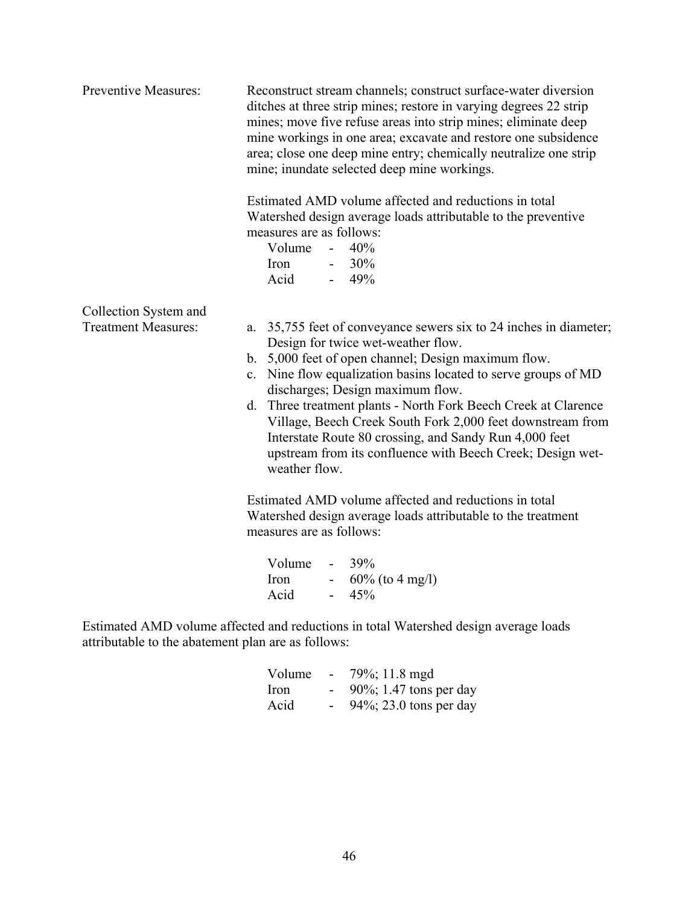| Preventive Measures:                                | Reconstruct stream channels; construct surface-water diversion<br>ditches at three strip mines; restore in varying degrees 22 strip<br>mines; move five refuse areas into strip mines; eliminate deep<br>mine workings in one area; excavate and restore one subsidence<br>area; close one deep mine entry; chemically neutralize one strip<br>mine; inundate selected deep mine workings.                                                                                                                                                    |  |  |  |
|-----------------------------------------------------|-----------------------------------------------------------------------------------------------------------------------------------------------------------------------------------------------------------------------------------------------------------------------------------------------------------------------------------------------------------------------------------------------------------------------------------------------------------------------------------------------------------------------------------------------|--|--|--|
|                                                     | Estimated AMD volume affected and reductions in total<br>Watershed design average loads attributable to the preventive<br>measures are as follows:<br>Volume $-40\%$<br>Iron - $30\%$<br>Acid<br>$-49%$                                                                                                                                                                                                                                                                                                                                       |  |  |  |
| Collection System and<br><b>Treatment Measures:</b> | a. 35,755 feet of conveyance sewers six to 24 inches in diameter;<br>Design for twice wet-weather flow.<br>b. 5,000 feet of open channel; Design maximum flow.<br>c. Nine flow equalization basins located to serve groups of MD<br>discharges; Design maximum flow.<br>d. Three treatment plants - North Fork Beech Creek at Clarence<br>Village, Beech Creek South Fork 2,000 feet downstream from<br>Interstate Route 80 crossing, and Sandy Run 4,000 feet<br>upstream from its confluence with Beech Creek; Design wet-<br>weather flow. |  |  |  |
|                                                     | Estimated AMD volume affected and reductions in total<br>Watershed design average loads attributable to the treatment<br>measures are as follows:                                                                                                                                                                                                                                                                                                                                                                                             |  |  |  |
|                                                     | Volume<br>$-39%$<br>Iron - $60\%$ (to 4 mg/l)<br>45%<br>Acid                                                                                                                                                                                                                                                                                                                                                                                                                                                                                  |  |  |  |

| Volume      | $\sim$ | 79%; 11.8 mgd              |
|-------------|--------|----------------------------|
| <i>Iron</i> |        | $90\%$ ; 1.47 tons per day |
| Acid        |        | 94%; 23.0 tons per day     |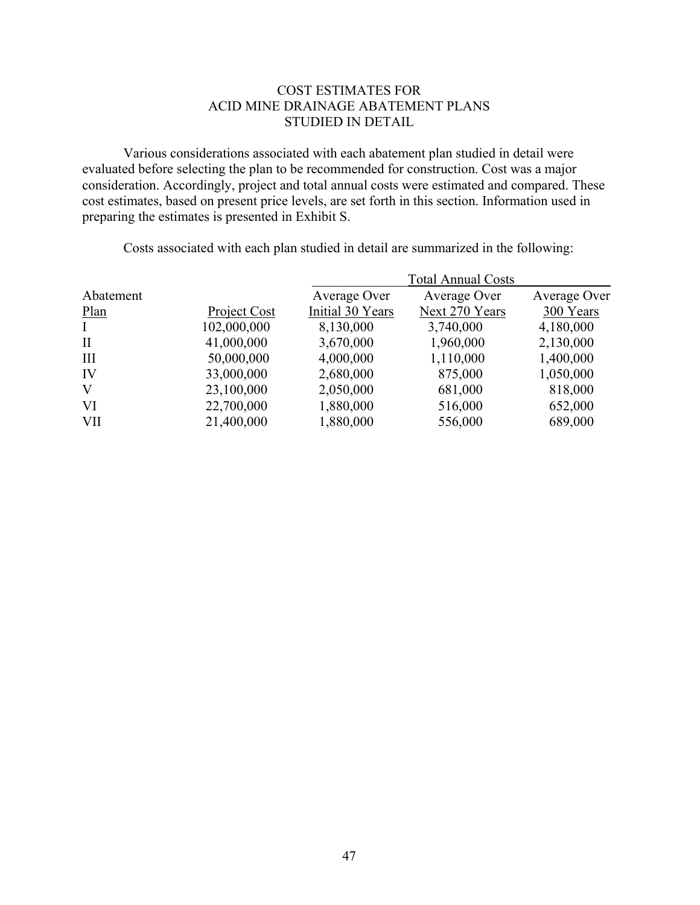# COST ESTIMATES FOR ACID MINE DRAINAGE ABATEMENT PLANS STUDIED IN DETAIL

Various considerations associated with each abatement plan studied in detail were evaluated before selecting the plan to be recommended for construction. Cost was a major consideration. Accordingly, project and total annual costs were estimated and compared. These cost estimates, based on present price levels, are set forth in this section. Information used in preparing the estimates is presented in Exhibit S.

|              |              |                  | <b>Total Annual Costs</b> |              |
|--------------|--------------|------------------|---------------------------|--------------|
| Abatement    |              | Average Over     | Average Over              | Average Over |
| Plan         | Project Cost | Initial 30 Years | Next 270 Years            | 300 Years    |
| $\mathbf{I}$ | 102,000,000  | 8,130,000        | 3,740,000                 | 4,180,000    |
| $\mathbf{I}$ | 41,000,000   | 3,670,000        | 1,960,000                 | 2,130,000    |
| Ш            | 50,000,000   | 4,000,000        | 1,110,000                 | 1,400,000    |
| IV           | 33,000,000   | 2,680,000        | 875,000                   | 1,050,000    |
| $\bf V$      | 23,100,000   | 2,050,000        | 681,000                   | 818,000      |
| VI           | 22,700,000   | 1,880,000        | 516,000                   | 652,000      |
| <b>VII</b>   | 21,400,000   | 1,880,000        | 556,000                   | 689,000      |

Costs associated with each plan studied in detail are summarized in the following: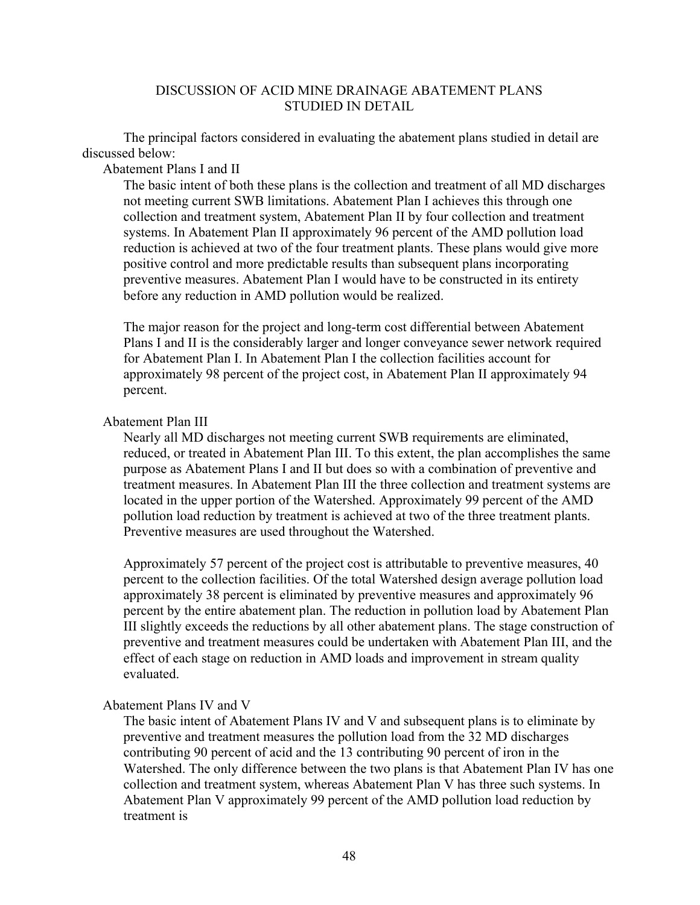## DISCUSSION OF ACID MINE DRAINAGE ABATEMENT PLANS STUDIED IN DETAIL

The principal factors considered in evaluating the abatement plans studied in detail are discussed below:

Abatement Plans I and II

The basic intent of both these plans is the collection and treatment of all MD discharges not meeting current SWB limitations. Abatement Plan I achieves this through one collection and treatment system, Abatement Plan II by four collection and treatment systems. In Abatement Plan II approximately 96 percent of the AMD pollution load reduction is achieved at two of the four treatment plants. These plans would give more positive control and more predictable results than subsequent plans incorporating preventive measures. Abatement Plan I would have to be constructed in its entirety before any reduction in AMD pollution would be realized.

The major reason for the project and long-term cost differential between Abatement Plans I and II is the considerably larger and longer conveyance sewer network required for Abatement Plan I. In Abatement Plan I the collection facilities account for approximately 98 percent of the project cost, in Abatement Plan II approximately 94 percent.

## Abatement Plan III

Nearly all MD discharges not meeting current SWB requirements are eliminated, reduced, or treated in Abatement Plan III. To this extent, the plan accomplishes the same purpose as Abatement Plans I and II but does so with a combination of preventive and treatment measures. In Abatement Plan III the three collection and treatment systems are located in the upper portion of the Watershed. Approximately 99 percent of the AMD pollution load reduction by treatment is achieved at two of the three treatment plants. Preventive measures are used throughout the Watershed.

Approximately 57 percent of the project cost is attributable to preventive measures, 40 percent to the collection facilities. Of the total Watershed design average pollution load approximately 38 percent is eliminated by preventive measures and approximately 96 percent by the entire abatement plan. The reduction in pollution load by Abatement Plan III slightly exceeds the reductions by all other abatement plans. The stage construction of preventive and treatment measures could be undertaken with Abatement Plan III, and the effect of each stage on reduction in AMD loads and improvement in stream quality evaluated.

## Abatement Plans IV and V

The basic intent of Abatement Plans IV and V and subsequent plans is to eliminate by preventive and treatment measures the pollution load from the 32 MD discharges contributing 90 percent of acid and the 13 contributing 90 percent of iron in the Watershed. The only difference between the two plans is that Abatement Plan IV has one collection and treatment system, whereas Abatement Plan V has three such systems. In Abatement Plan V approximately 99 percent of the AMD pollution load reduction by treatment is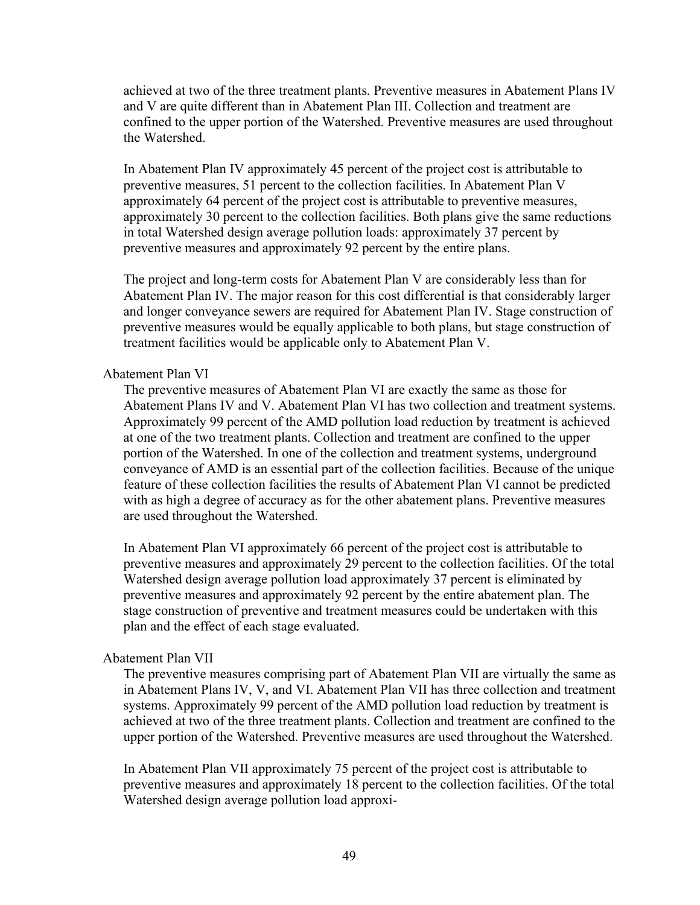achieved at two of the three treatment plants. Preventive measures in Abatement Plans IV and V are quite different than in Abatement Plan III. Collection and treatment are confined to the upper portion of the Watershed. Preventive measures are used throughout the Watershed.

In Abatement Plan IV approximately 45 percent of the project cost is attributable to preventive measures, 51 percent to the collection facilities. In Abatement Plan V approximately 64 percent of the project cost is attributable to preventive measures, approximately 30 percent to the collection facilities. Both plans give the same reductions in total Watershed design average pollution loads: approximately 37 percent by preventive measures and approximately 92 percent by the entire plans.

The project and long-term costs for Abatement Plan V are considerably less than for Abatement Plan IV. The major reason for this cost differential is that considerably larger and longer conveyance sewers are required for Abatement Plan IV. Stage construction of preventive measures would be equally applicable to both plans, but stage construction of treatment facilities would be applicable only to Abatement Plan V.

#### Abatement Plan VI

The preventive measures of Abatement Plan VI are exactly the same as those for Abatement Plans IV and V. Abatement Plan VI has two collection and treatment systems. Approximately 99 percent of the AMD pollution load reduction by treatment is achieved at one of the two treatment plants. Collection and treatment are confined to the upper portion of the Watershed. In one of the collection and treatment systems, underground conveyance of AMD is an essential part of the collection facilities. Because of the unique feature of these collection facilities the results of Abatement Plan VI cannot be predicted with as high a degree of accuracy as for the other abatement plans. Preventive measures are used throughout the Watershed.

In Abatement Plan VI approximately 66 percent of the project cost is attributable to preventive measures and approximately 29 percent to the collection facilities. Of the total Watershed design average pollution load approximately 37 percent is eliminated by preventive measures and approximately 92 percent by the entire abatement plan. The stage construction of preventive and treatment measures could be undertaken with this plan and the effect of each stage evaluated.

#### Abatement Plan VII

The preventive measures comprising part of Abatement Plan VII are virtually the same as in Abatement Plans IV, V, and VI. Abatement Plan VII has three collection and treatment systems. Approximately 99 percent of the AMD pollution load reduction by treatment is achieved at two of the three treatment plants. Collection and treatment are confined to the upper portion of the Watershed. Preventive measures are used throughout the Watershed.

In Abatement Plan VII approximately 75 percent of the project cost is attributable to preventive measures and approximately 18 percent to the collection facilities. Of the total Watershed design average pollution load approxi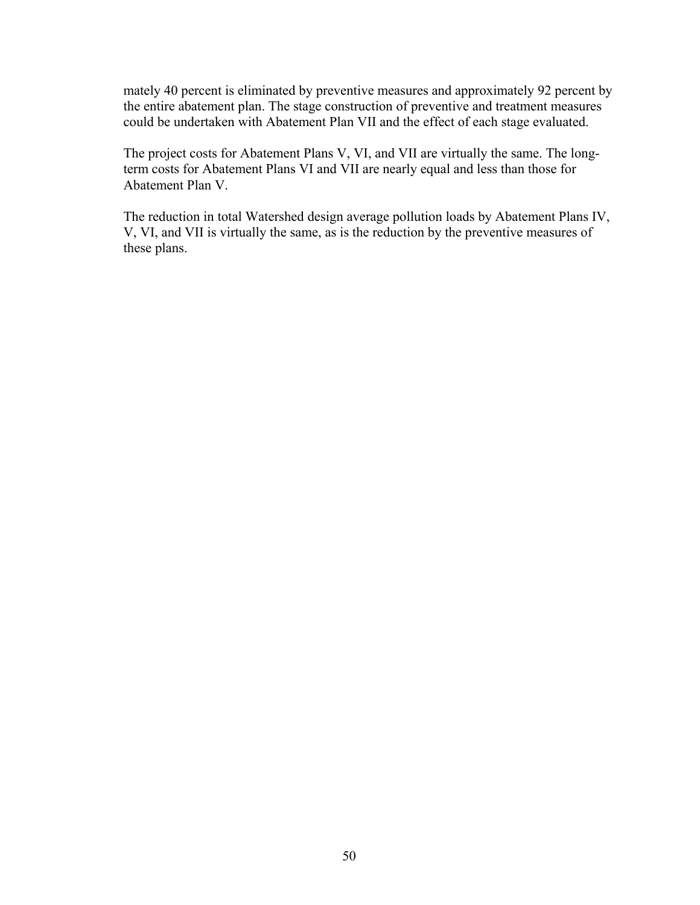mately 40 percent is eliminated by preventive measures and approximately 92 percent by the entire abatement plan. The stage construction of preventive and treatment measures could be undertaken with Abatement Plan VII and the effect of each stage evaluated.

The project costs for Abatement Plans V, VI, and VII are virtually the same. The longterm costs for Abatement Plans VI and VII are nearly equal and less than those for Abatement Plan V.

The reduction in total Watershed design average pollution loads by Abatement Plans IV, V, VI, and VII is virtually the same, as is the reduction by the preventive measures of these plans.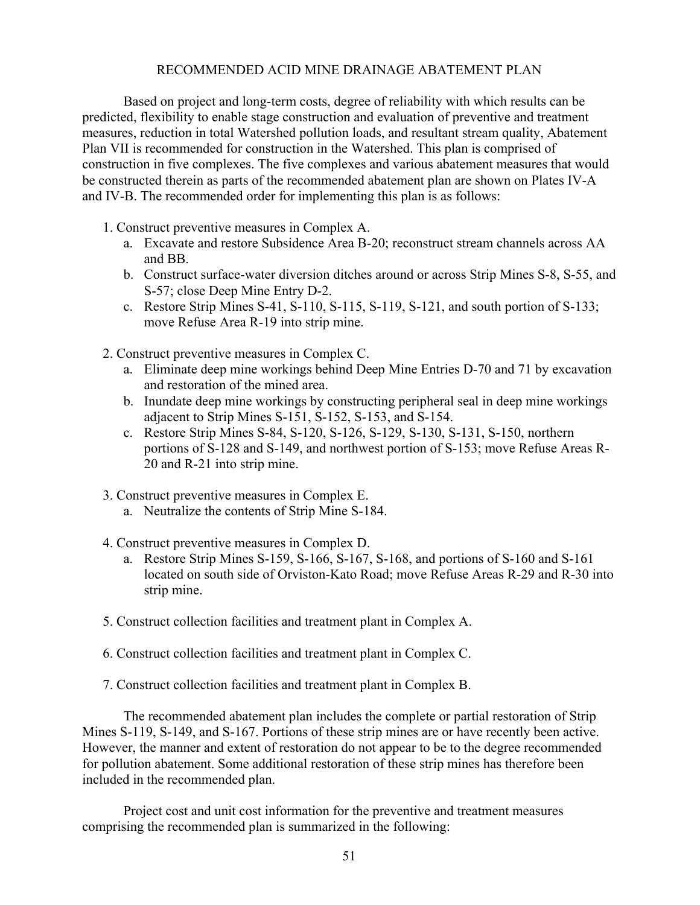## RECOMMENDED ACID MINE DRAINAGE ABATEMENT PLAN

Based on project and long-term costs, degree of reliability with which results can be predicted, flexibility to enable stage construction and evaluation of preventive and treatment measures, reduction in total Watershed pollution loads, and resultant stream quality, Abatement Plan VII is recommended for construction in the Watershed. This plan is comprised of construction in five complexes. The five complexes and various abatement measures that would be constructed therein as parts of the recommended abatement plan are shown on Plates IV-A and IV-B. The recommended order for implementing this plan is as follows:

- 1. Construct preventive measures in Complex A.
	- a. Excavate and restore Subsidence Area B-20; reconstruct stream channels across AA and BB.
	- b. Construct surface-water diversion ditches around or across Strip Mines S-8, S-55, and S-57; close Deep Mine Entry D-2.
	- c. Restore Strip Mines S-41, S-110, S-115, S-119, S-121, and south portion of S-133; move Refuse Area R-19 into strip mine.
- 2. Construct preventive measures in Complex C.
	- a. Eliminate deep mine workings behind Deep Mine Entries D-70 and 71 by excavation and restoration of the mined area.
	- b. Inundate deep mine workings by constructing peripheral seal in deep mine workings adjacent to Strip Mines S-151, S-152, S-153, and S-154.
	- c. Restore Strip Mines S-84, S-120, S-126, S-129, S-130, S-131, S-150, northern portions of S-128 and S-149, and northwest portion of S-153; move Refuse Areas R-20 and R-21 into strip mine.
- 3. Construct preventive measures in Complex E.
	- a. Neutralize the contents of Strip Mine S-184.
- 4. Construct preventive measures in Complex D.
	- a. Restore Strip Mines S-159, S-166, S-167, S-168, and portions of S-160 and S-161 located on south side of Orviston-Kato Road; move Refuse Areas R-29 and R-30 into strip mine.
- 5. Construct collection facilities and treatment plant in Complex A.
- 6. Construct collection facilities and treatment plant in Complex C.
- 7. Construct collection facilities and treatment plant in Complex B.

The recommended abatement plan includes the complete or partial restoration of Strip Mines S-119, S-149, and S-167. Portions of these strip mines are or have recently been active. However, the manner and extent of restoration do not appear to be to the degree recommended for pollution abatement. Some additional restoration of these strip mines has therefore been included in the recommended plan.

Project cost and unit cost information for the preventive and treatment measures comprising the recommended plan is summarized in the following: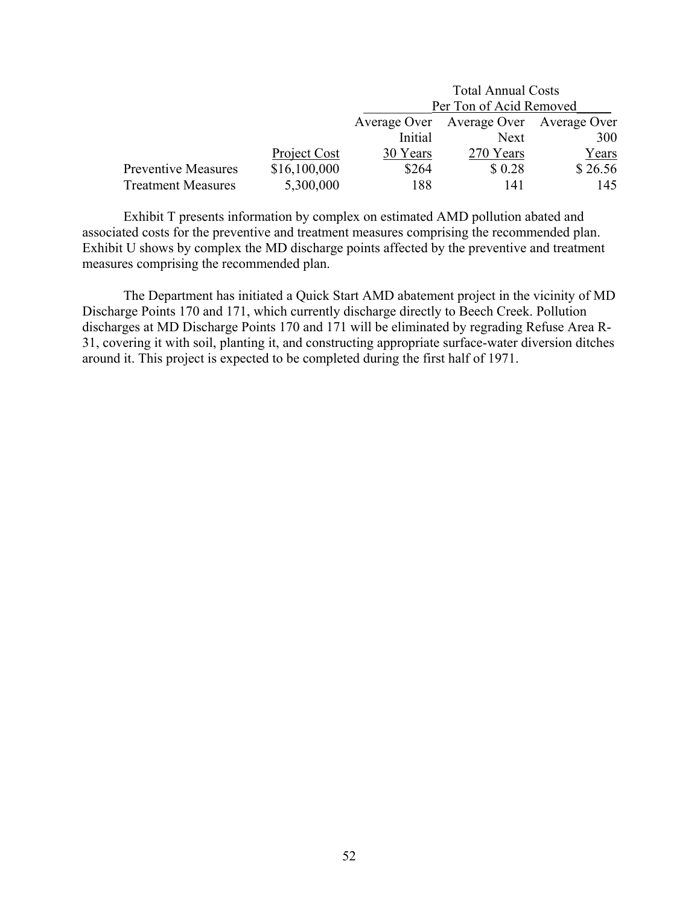|                            |              | <b>Total Annual Costs</b>              |        |         |  |
|----------------------------|--------------|----------------------------------------|--------|---------|--|
|                            |              | Per Ton of Acid Removed                |        |         |  |
|                            |              | Average Over Average Over Average Over |        |         |  |
|                            |              | Initial<br>300<br>Next                 |        |         |  |
|                            | Project Cost | Years<br>30 Years<br>270 Years         |        |         |  |
| <b>Preventive Measures</b> | \$16,100,000 | \$264                                  | \$0.28 | \$26.56 |  |
| <b>Treatment Measures</b>  | 5,300,000    | 188                                    | 141    | 145     |  |

Exhibit T presents information by complex on estimated AMD pollution abated and associated costs for the preventive and treatment measures comprising the recommended plan. Exhibit U shows by complex the MD discharge points affected by the preventive and treatment measures comprising the recommended plan.

The Department has initiated a Quick Start AMD abatement project in the vicinity of MD Discharge Points 170 and 171, which currently discharge directly to Beech Creek. Pollution discharges at MD Discharge Points 170 and 171 will be eliminated by regrading Refuse Area R-31, covering it with soil, planting it, and constructing appropriate surface-water diversion ditches around it. This project is expected to be completed during the first half of 1971.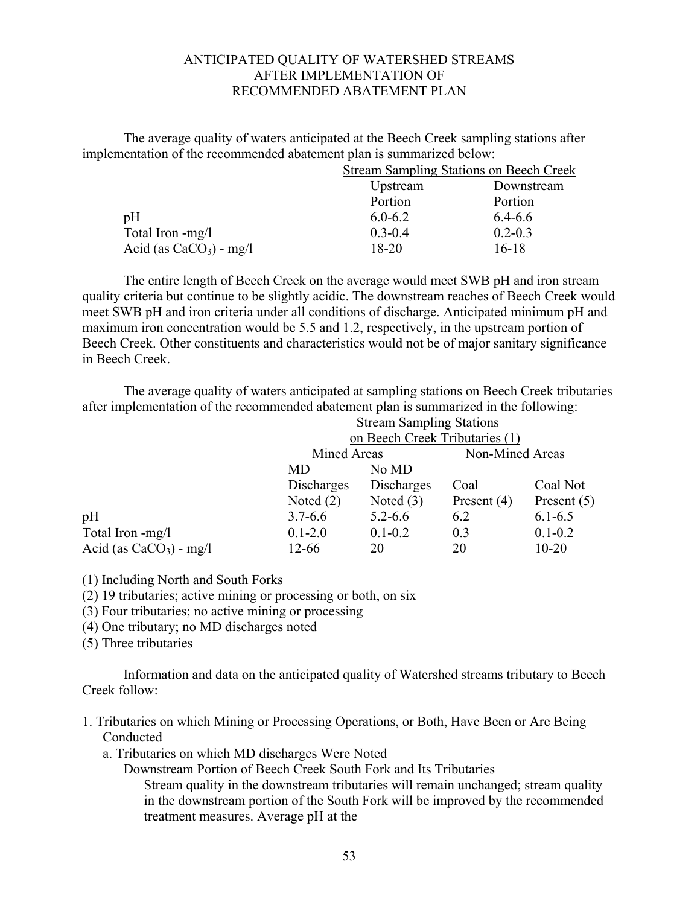## ANTICIPATED QUALITY OF WATERSHED STREAMS AFTER IMPLEMENTATION OF RECOMMENDED ABATEMENT PLAN

The average quality of waters anticipated at the Beech Creek sampling stations after implementation of the recommended abatement plan is summarized below:

| <b>Stream Sampling Stations on Beech Creek</b> |             |  |
|------------------------------------------------|-------------|--|
| Upstream                                       | Downstream  |  |
| Portion                                        | Portion     |  |
| $6.0 - 6.2$                                    | $6.4 - 6.6$ |  |
| $0.3 - 0.4$                                    | $0.2 - 0.3$ |  |
| 18-20                                          | $16-18$     |  |
|                                                |             |  |

The entire length of Beech Creek on the average would meet SWB pH and iron stream quality criteria but continue to be slightly acidic. The downstream reaches of Beech Creek would meet SWB pH and iron criteria under all conditions of discharge. Anticipated minimum pH and maximum iron concentration would be 5.5 and 1.2, respectively, in the upstream portion of Beech Creek. Other constituents and characteristics would not be of major sanitary significance in Beech Creek.

The average quality of waters anticipated at sampling stations on Beech Creek tributaries after implementation of the recommended abatement plan is summarized in the following: Stream Sampling Stations

|                           | Sucalli Saliipiilig Stations |                                |               |                 |
|---------------------------|------------------------------|--------------------------------|---------------|-----------------|
|                           |                              | on Beech Creek Tributaries (1) |               |                 |
|                           |                              | Mined Areas                    |               | Non-Mined Areas |
|                           | MD                           | No MD                          |               |                 |
|                           | Discharges                   | Discharges                     | Coal          | Coal Not        |
|                           | Noted $(2)$                  | Noted $(3)$                    | Present $(4)$ | Present $(5)$   |
| pH                        | $3.7 - 6.6$                  | $5.2 - 6.6$                    | 6.2           | $6.1 - 6.5$     |
| Total Iron -mg/l          | $0.1 - 2.0$                  | $0.1 - 0.2$                    | 0.3           | $0.1 - 0.2$     |
| Acid (as $CaCO3$ ) - mg/l | $12 - 66$                    | 20                             | 20            | $10 - 20$       |
|                           |                              |                                |               |                 |

(1) Including North and South Forks

(2) 19 tributaries; active mining or processing or both, on six

(3) Four tributaries; no active mining or processing

(4) One tributary; no MD discharges noted

(5) Three tributaries

Information and data on the anticipated quality of Watershed streams tributary to Beech Creek follow:

- 1. Tributaries on which Mining or Processing Operations, or Both, Have Been or Are Being Conducted
	- a. Tributaries on which MD discharges Were Noted

Downstream Portion of Beech Creek South Fork and Its Tributaries

Stream quality in the downstream tributaries will remain unchanged; stream quality in the downstream portion of the South Fork will be improved by the recommended treatment measures. Average pH at the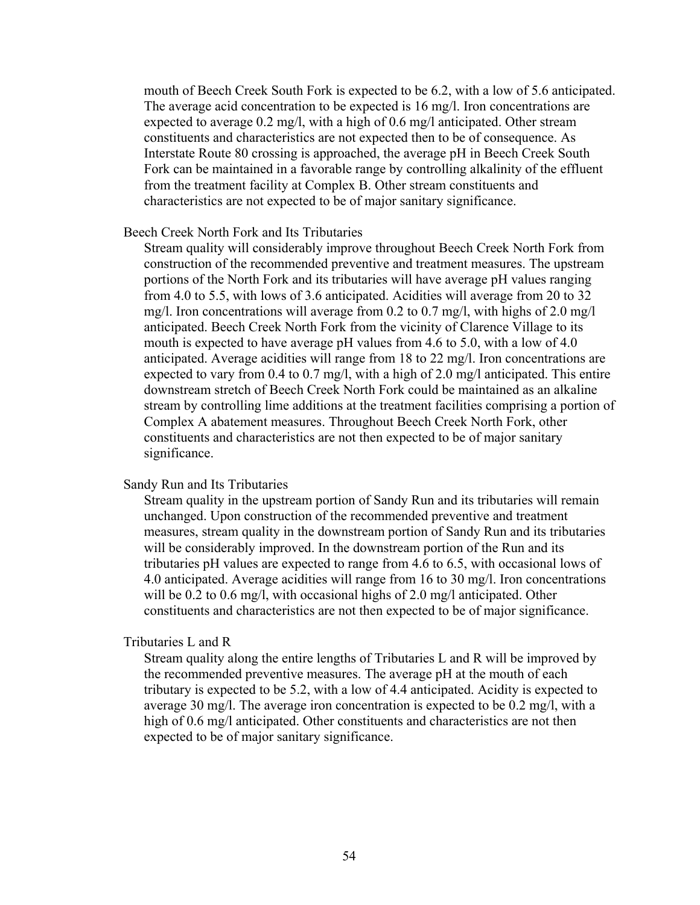mouth of Beech Creek South Fork is expected to be 6.2, with a low of 5.6 anticipated. The average acid concentration to be expected is 16 mg/l. Iron concentrations are expected to average 0.2 mg/l, with a high of 0.6 mg/l anticipated. Other stream constituents and characteristics are not expected then to be of consequence. As Interstate Route 80 crossing is approached, the average pH in Beech Creek South Fork can be maintained in a favorable range by controlling alkalinity of the effluent from the treatment facility at Complex B. Other stream constituents and characteristics are not expected to be of major sanitary significance.

#### Beech Creek North Fork and Its Tributaries

Stream quality will considerably improve throughout Beech Creek North Fork from construction of the recommended preventive and treatment measures. The upstream portions of the North Fork and its tributaries will have average pH values ranging from 4.0 to 5.5, with lows of 3.6 anticipated. Acidities will average from 20 to 32 mg/l. Iron concentrations will average from 0.2 to 0.7 mg/l, with highs of 2.0 mg/l anticipated. Beech Creek North Fork from the vicinity of Clarence Village to its mouth is expected to have average pH values from 4.6 to 5.0, with a low of 4.0 anticipated. Average acidities will range from 18 to 22 mg/l. Iron concentrations are expected to vary from 0.4 to 0.7 mg/l, with a high of 2.0 mg/l anticipated. This entire downstream stretch of Beech Creek North Fork could be maintained as an alkaline stream by controlling lime additions at the treatment facilities comprising a portion of Complex A abatement measures. Throughout Beech Creek North Fork, other constituents and characteristics are not then expected to be of major sanitary significance.

## Sandy Run and Its Tributaries

Stream quality in the upstream portion of Sandy Run and its tributaries will remain unchanged. Upon construction of the recommended preventive and treatment measures, stream quality in the downstream portion of Sandy Run and its tributaries will be considerably improved. In the downstream portion of the Run and its tributaries pH values are expected to range from 4.6 to 6.5, with occasional lows of 4.0 anticipated. Average acidities will range from 16 to 30 mg/l. Iron concentrations will be 0.2 to 0.6 mg/l, with occasional highs of 2.0 mg/l anticipated. Other constituents and characteristics are not then expected to be of major significance.

## Tributaries L and R

Stream quality along the entire lengths of Tributaries L and R will be improved by the recommended preventive measures. The average pH at the mouth of each tributary is expected to be 5.2, with a low of 4.4 anticipated. Acidity is expected to average 30 mg/l. The average iron concentration is expected to be 0.2 mg/l, with a high of 0.6 mg/l anticipated. Other constituents and characteristics are not then expected to be of major sanitary significance.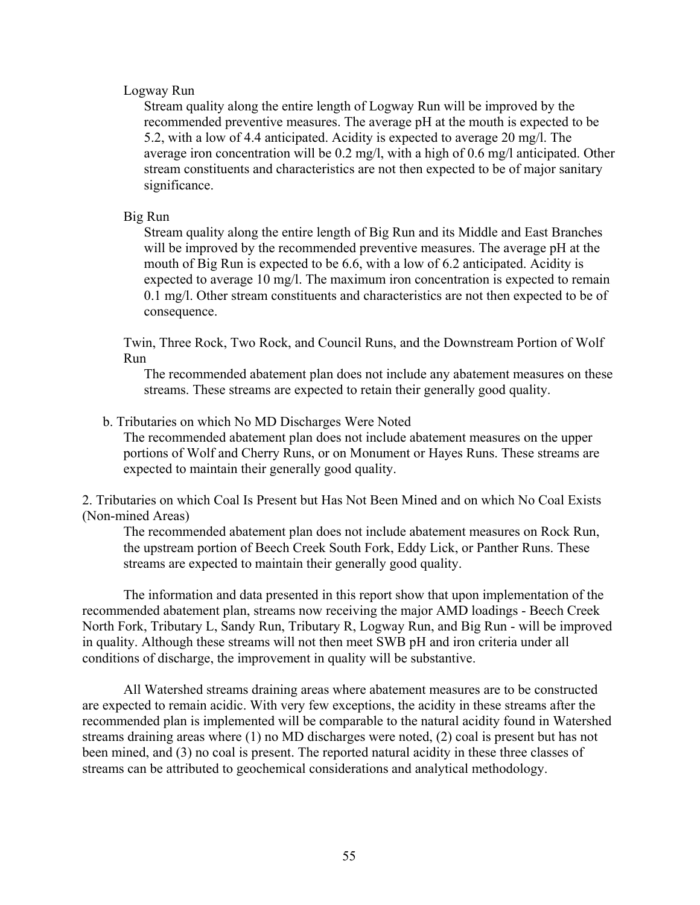## Logway Run

Stream quality along the entire length of Logway Run will be improved by the recommended preventive measures. The average pH at the mouth is expected to be 5.2, with a low of 4.4 anticipated. Acidity is expected to average 20 mg/l. The average iron concentration will be 0.2 mg/l, with a high of 0.6 mg/l anticipated. Other stream constituents and characteristics are not then expected to be of major sanitary significance.

## Big Run

Stream quality along the entire length of Big Run and its Middle and East Branches will be improved by the recommended preventive measures. The average pH at the mouth of Big Run is expected to be 6.6, with a low of 6.2 anticipated. Acidity is expected to average 10 mg/l. The maximum iron concentration is expected to remain 0.1 mg/l. Other stream constituents and characteristics are not then expected to be of consequence.

Twin, Three Rock, Two Rock, and Council Runs, and the Downstream Portion of Wolf Run

The recommended abatement plan does not include any abatement measures on these streams. These streams are expected to retain their generally good quality.

## b. Tributaries on which No MD Discharges Were Noted

The recommended abatement plan does not include abatement measures on the upper portions of Wolf and Cherry Runs, or on Monument or Hayes Runs. These streams are expected to maintain their generally good quality.

2. Tributaries on which Coal Is Present but Has Not Been Mined and on which No Coal Exists (Non-mined Areas)

The recommended abatement plan does not include abatement measures on Rock Run, the upstream portion of Beech Creek South Fork, Eddy Lick, or Panther Runs. These streams are expected to maintain their generally good quality.

The information and data presented in this report show that upon implementation of the recommended abatement plan, streams now receiving the major AMD loadings - Beech Creek North Fork, Tributary L, Sandy Run, Tributary R, Logway Run, and Big Run - will be improved in quality. Although these streams will not then meet SWB pH and iron criteria under all conditions of discharge, the improvement in quality will be substantive.

All Watershed streams draining areas where abatement measures are to be constructed are expected to remain acidic. With very few exceptions, the acidity in these streams after the recommended plan is implemented will be comparable to the natural acidity found in Watershed streams draining areas where (1) no MD discharges were noted, (2) coal is present but has not been mined, and (3) no coal is present. The reported natural acidity in these three classes of streams can be attributed to geochemical considerations and analytical methodology.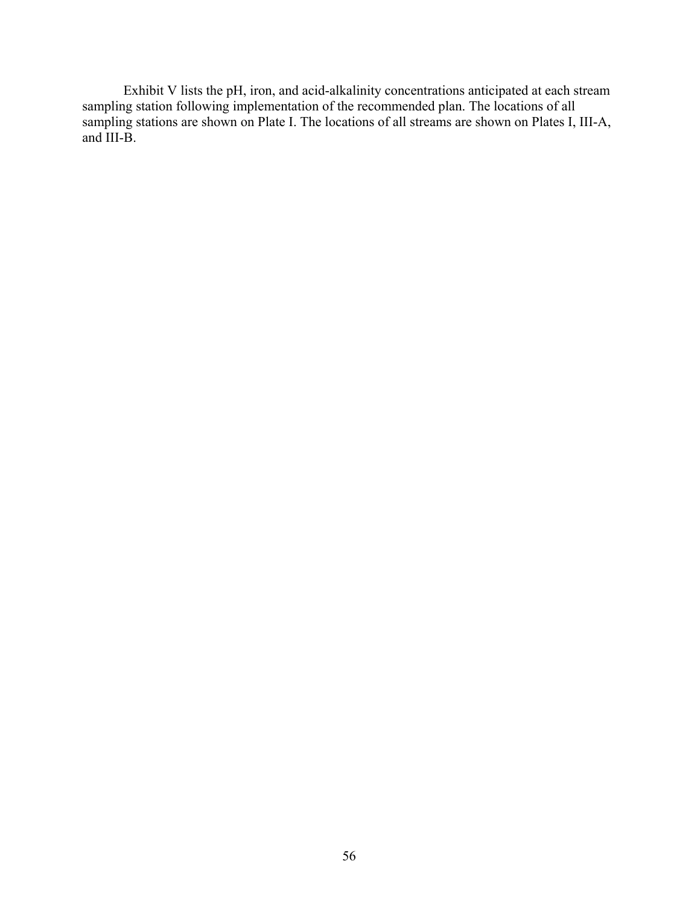Exhibit V lists the pH, iron, and acid-alkalinity concentrations anticipated at each stream sampling station following implementation of the recommended plan. The locations of all sampling stations are shown on Plate I. The locations of all streams are shown on Plates I, III-A, and III-B.